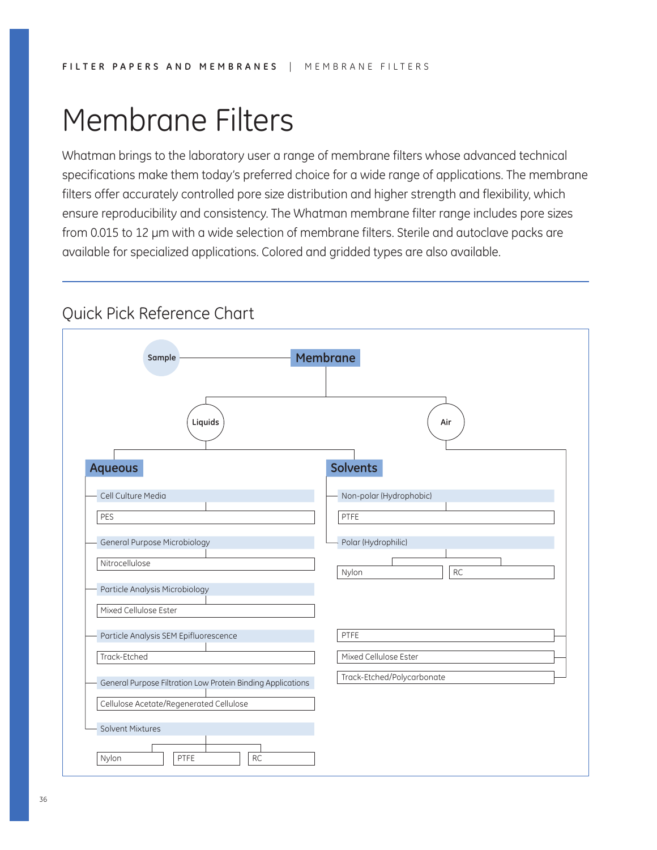# Membrane Filters

Whatman brings to the laboratory user a range of membrane filters whose advanced technical specifications make them today's preferred choice for a wide range of applications. The membrane filters offer accurately controlled pore size distribution and higher strength and flexibility, which ensure reproducibility and consistency. The Whatman membrane filter range includes pore sizes from 0.015 to 12 µm with a wide selection of membrane filters. Sterile and autoclave packs are available for specialized applications. Colored and gridded types are also available.

## Quick Pick Reference Chart

| <b>Aqueous</b><br>Cell Culture Media<br>PES<br>General Purpose Microbiology | <b>Solvents</b><br>Non-polar (Hydrophobic)<br>PTFE  |
|-----------------------------------------------------------------------------|-----------------------------------------------------|
|                                                                             |                                                     |
|                                                                             |                                                     |
| Nitrocellulose                                                              | Polar (Hydrophilic)<br><b>RC</b><br>Nylon           |
| Particle Analysis Microbiology<br>Mixed Cellulose Ester                     |                                                     |
| Particle Analysis SEM Epifluorescence                                       | PTFE                                                |
| Track-Etched<br>General Purpose Filtration Low Protein Binding Applications | Mixed Cellulose Ester<br>Track-Etched/Polycarbonate |
| Cellulose Acetate/Regenerated Cellulose<br><b>Solvent Mixtures</b>          |                                                     |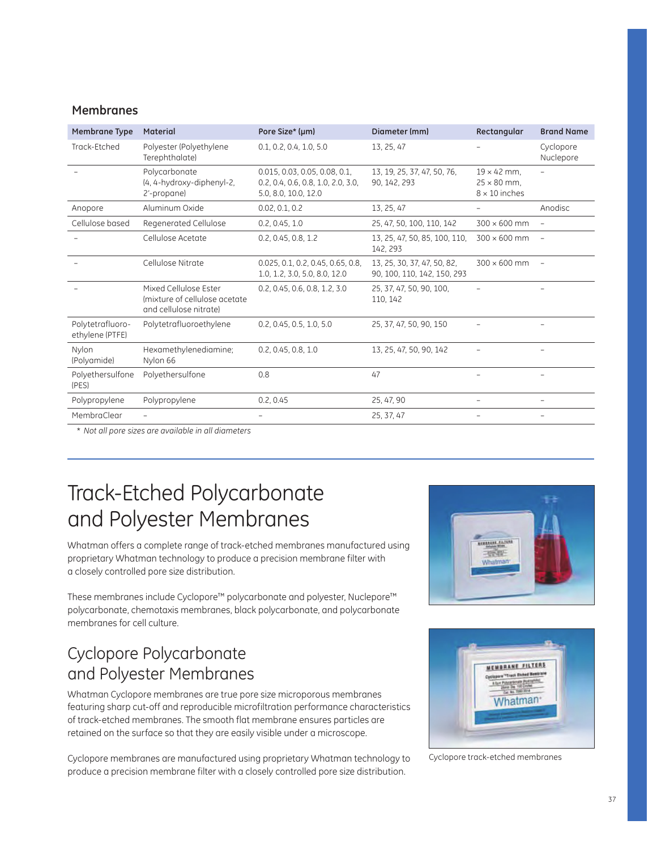### **Membranes**

| Membrane Type                       | Material                                                                         | Pore Size* (µm)                                                                             | Diameter (mm)                                              | Rectangular                                                      | <b>Brand Name</b>        |
|-------------------------------------|----------------------------------------------------------------------------------|---------------------------------------------------------------------------------------------|------------------------------------------------------------|------------------------------------------------------------------|--------------------------|
| Track-Etched                        | Polyester (Polyethylene<br>Terephthalate)                                        | 0.1, 0.2, 0.4, 1.0, 5.0                                                                     | 13, 25, 47                                                 |                                                                  | Cyclopore<br>Nuclepore   |
|                                     | Polycarbonate<br>(4, 4-hydroxy-diphenyl-2,<br>2'-propane)                        | 0.015, 0.03, 0.05, 0.08, 0.1,<br>0.2, 0.4, 0.6, 0.8, 1.0, 2.0, 3.0,<br>5.0, 8.0, 10.0, 12.0 | 13, 19, 25, 37, 47, 50, 76,<br>90, 142, 293                | $19 \times 42$ mm.<br>$25 \times 80$ mm.<br>$8 \times 10$ inches |                          |
| Anopore                             | Aluminum Oxide                                                                   | 0.02, 0.1, 0.2                                                                              | 13, 25, 47                                                 | $\overline{\phantom{0}}$                                         | Anodisc                  |
| Cellulose based                     | Regenerated Cellulose                                                            | 0.2, 0.45, 1.0                                                                              | 25, 47, 50, 100, 110, 142                                  | $300 \times 600$ mm                                              |                          |
|                                     | Cellulose Acetate                                                                | 0.2, 0.45, 0.8, 1.2                                                                         | 13, 25, 47, 50, 85, 100, 110,<br>142, 293                  | $300 \times 600$ mm                                              | $\overline{\phantom{m}}$ |
|                                     | Cellulose Nitrate                                                                | 0.025, 0.1, 0.2, 0.45, 0.65, 0.8,<br>1.0, 1.2, 3.0, 5.0, 8.0, 12.0                          | 13, 25, 30, 37, 47, 50, 82,<br>90, 100, 110, 142, 150, 293 | $300 \times 600$ mm                                              | $\overline{\phantom{m}}$ |
|                                     | Mixed Cellulose Ester<br>(mixture of cellulose acetate<br>and cellulose nitrate) | 0.2, 0.45, 0.6, 0.8, 1.2, 3.0                                                               | 25, 37, 47, 50, 90, 100,<br>110, 142                       |                                                                  |                          |
| Polytetrafluoro-<br>ethylene (PTFE) | Polytetrafluoroethylene                                                          | 0.2, 0.45, 0.5, 1.0, 5.0                                                                    | 25, 37, 47, 50, 90, 150                                    |                                                                  |                          |
| Nylon<br>(Polyamide)                | Hexamethylenediamine;<br>Nylon 66                                                | 0.2, 0.45, 0.8, 1.0                                                                         | 13, 25, 47, 50, 90, 142                                    |                                                                  |                          |
| Polyethersulfone<br>(PES)           | Polyethersulfone                                                                 | 0.8                                                                                         | 47                                                         |                                                                  |                          |
| Polypropylene                       | Polypropylene                                                                    | 0.2, 0.45                                                                                   | 25, 47, 90                                                 | $\overline{a}$                                                   | $\overline{\phantom{m}}$ |
| MembraClear                         |                                                                                  |                                                                                             | 25, 37, 47                                                 |                                                                  |                          |
|                                     |                                                                                  |                                                                                             |                                                            |                                                                  |                          |

\* *Not all pore sizes are available in all diameters*

## Track-Etched Polycarbonate and Polyester Membranes

Whatman offers a complete range of track-etched membranes manufactured using proprietary Whatman technology to produce a precision membrane filter with a closely controlled pore size distribution.

These membranes include Cyclopore™ polycarbonate and polyester, Nuclepore™ polycarbonate, chemotaxis membranes, black polycarbonate, and polycarbonate membranes for cell culture.

## Cyclopore Polycarbonate and Polyester Membranes

Whatman Cyclopore membranes are true pore size microporous membranes featuring sharp cut-off and reproducible microfiltration performance characteristics of track-etched membranes. The smooth flat membrane ensures particles are retained on the surface so that they are easily visible under a microscope.

Cyclopore membranes are manufactured using proprietary Whatman technology to produce a precision membrane filter with a closely controlled pore size distribution.





Cyclopore track-etched membranes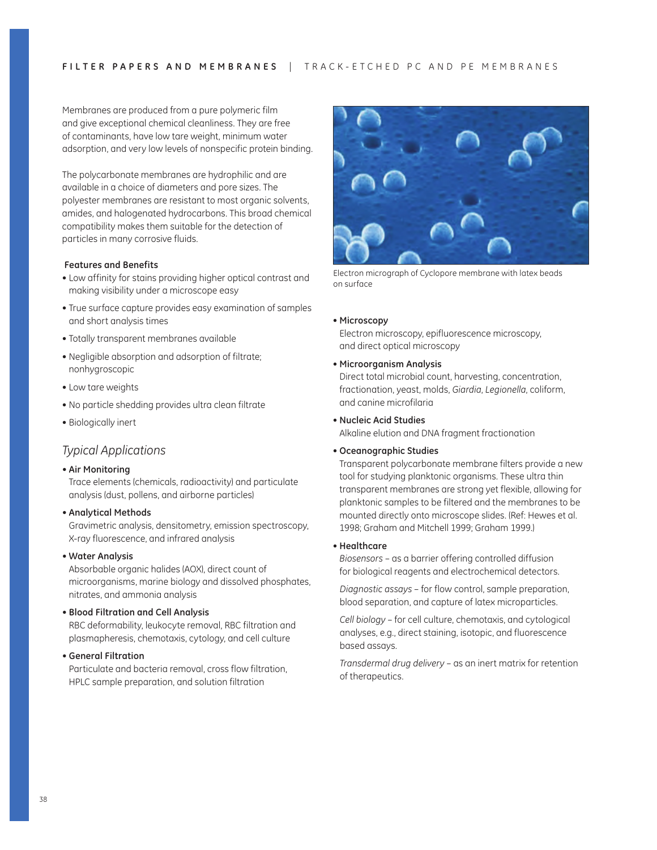Membranes are produced from a pure polymeric film and give exceptional chemical cleanliness. They are free of contaminants, have low tare weight, minimum water adsorption, and very low levels of nonspecific protein binding.

The polycarbonate membranes are hydrophilic and are available in a choice of diameters and pore sizes. The polyester membranes are resistant to most organic solvents, amides, and halogenated hydrocarbons. This broad chemical compatibility makes them suitable for the detection of particles in many corrosive fluids.

#### **Features and Benefits**

- Low affinity for stains providing higher optical contrast and making visibility under a microscope easy
- True surface capture provides easy examination of samples and short analysis times
- Totally transparent membranes available
- Negligible absorption and adsorption of filtrate; nonhygroscopic
- Low tare weights
- No particle shedding provides ultra clean filtrate
- Biologically inert

### *Typical Applications*

#### ~**Air Monitoring**

Trace elements (chemicals, radioactivity) and particulate analysis (dust, pollens, and airborne particles)

~**Analytical Methods** 

Gravimetric analysis, densitometry, emission spectroscopy, X-ray fluorescence, and infrared analysis

~**Water Analysis** 

Absorbable organic halides (AOX), direct count of microorganisms, marine biology and dissolved phosphates, nitrates, and ammonia analysis

~**Blood Filtration and Cell Analysis** 

RBC deformability, leukocyte removal, RBC filtration and plasmapheresis, chemotaxis, cytology, and cell culture

~**General Filtration** 

Particulate and bacteria removal, cross flow filtration, HPLC sample preparation, and solution filtration



Electron micrograph of Cyclopore membrane with latex beads on surface

#### ~ **Microscopy**

Electron microscopy, epifluorescence microscopy, and direct optical microscopy

#### ~**Microorganism Analysis**

Direct total microbial count, harvesting, concentration, fractionation, yeast, molds, *Giardia*, *Legionella*, coliform, and canine microfilaria

### ~**Nucleic Acid Studies**

Alkaline elution and DNA fragment fractionation

#### ~**Oceanographic Studies**

Transparent polycarbonate membrane filters provide a new tool for studying planktonic organisms. These ultra thin transparent membranes are strong yet flexible, allowing for planktonic samples to be filtered and the membranes to be mounted directly onto microscope slides. (Ref: Hewes et al. 1998; Graham and Mitchell 1999; Graham 1999.)

#### ~ **Healthcare**

*Biosensors* – as a barrier offering controlled diffusion for biological reagents and electrochemical detectors.

 *Diagnostic assays* – for flow control, sample preparation, blood separation, and capture of latex microparticles.

 *Cell biology* – for cell culture, chemotaxis, and cytological analyses, e.g., direct staining, isotopic, and fluorescence based assays.

 *Transdermal drug delivery* – as an inert matrix for retention of therapeutics.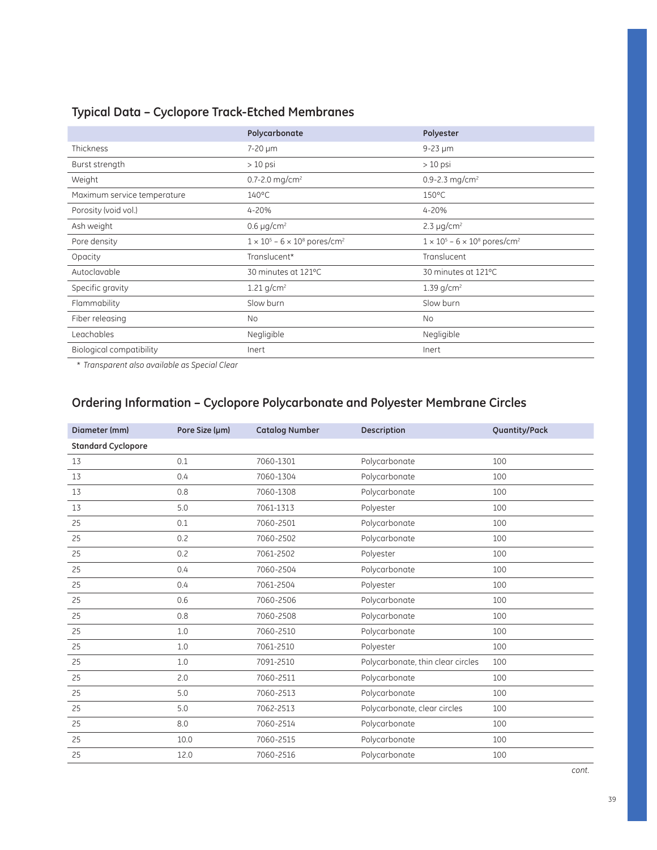### **Typical Data – Cyclopore Track-Etched Membranes**

|                             | Polycarbonate                                         | Polyester                                             |
|-----------------------------|-------------------------------------------------------|-------------------------------------------------------|
| Thickness                   | $7-20 \mu m$                                          | $9-23 \mu m$                                          |
| Burst strength              | $>10$ psi                                             | $>10$ psi                                             |
| Weight                      | 0.7-2.0 mg/cm <sup>2</sup>                            | 0.9-2.3 mg/cm <sup>2</sup>                            |
| Maximum service temperature | $140^{\circ}$ C                                       | $150^{\circ}$ C                                       |
| Porosity (void vol.)        | 4-20%                                                 | 4-20%                                                 |
| Ash weight                  | 0.6 $\mu$ g/cm <sup>2</sup>                           | 2.3 $\mu$ g/cm <sup>2</sup>                           |
| Pore density                | $1 \times 10^5 - 6 \times 10^8$ pores/cm <sup>2</sup> | $1 \times 10^5 - 6 \times 10^8$ pores/cm <sup>2</sup> |
| Opacity                     | Translucent*                                          | Translucent                                           |
| Autoclavable                | 30 minutes at 121°C                                   | 30 minutes at 121°C                                   |
| Specific gravity            | 1.21 $g/cm^2$                                         | 1.39 $g/cm^2$                                         |
| Flammability                | Slow burn                                             | Slow burn                                             |
| Fiber releasing             | No                                                    | No.                                                   |
| Leachables                  | Negligible                                            | Negligible                                            |
| Biological compatibility    | Inert                                                 | Inert                                                 |

\* *Transparent also available as Special Clear*

## **Ordering Information – Cyclopore Polycarbonate and Polyester Membrane Circles**

| Diameter (mm)             | Pore Size (um) | <b>Catalog Number</b> | Description                       | Quantity/Pack |
|---------------------------|----------------|-----------------------|-----------------------------------|---------------|
| <b>Standard Cyclopore</b> |                |                       |                                   |               |
| 13                        | 0.1            | 7060-1301             | Polycarbonate                     | 100           |
| 13                        | 0.4            | 7060-1304             | Polycarbonate                     | 100           |
| 13                        | 0.8            | 7060-1308             | Polycarbonate                     | 100           |
| 13                        | 5.0            | 7061-1313             | Polyester                         | 100           |
| 25                        | 0.1            | 7060-2501             | Polycarbonate                     | 100           |
| 25                        | 0.2            | 7060-2502             | Polycarbonate                     | 100           |
| 25                        | 0.2            | 7061-2502             | Polyester                         | 100           |
| 25                        | 0.4            | 7060-2504             | Polycarbonate                     | 100           |
| 25                        | 0.4            | 7061-2504             | Polyester                         | 100           |
| 25                        | 0.6            | 7060-2506             | Polycarbonate                     | 100           |
| 25                        | 0.8            | 7060-2508             | Polycarbonate                     | 100           |
| 25                        | 1.0            | 7060-2510             | Polycarbonate                     | 100           |
| 25                        | 1.0            | 7061-2510             | Polyester                         | 100           |
| 25                        | 1.0            | 7091-2510             | Polycarbonate, thin clear circles | 100           |
| 25                        | 2.0            | 7060-2511             | Polycarbonate                     | 100           |
| 25                        | 5.0            | 7060-2513             | Polycarbonate                     | 100           |
| 25                        | 5.0            | 7062-2513             | Polycarbonate, clear circles      | 100           |
| 25                        | 8.0            | 7060-2514             | Polycarbonate                     | 100           |
| 25                        | 10.0           | 7060-2515             | Polycarbonate                     | 100           |
| 25                        | 12.0           | 7060-2516             | Polycarbonate                     | 100           |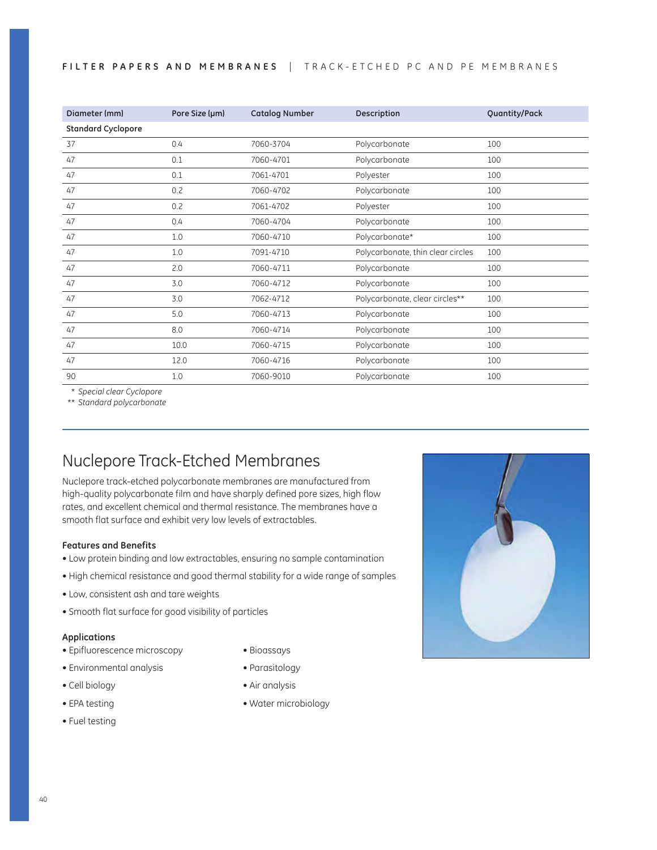#### FILTER PAPERS AND MEMBRANES | TRACK-ETCHED PC AND PE MEMBRANES

| Diameter (mm)             | Pore Size (µm) | <b>Catalog Number</b> | Description                       | Quantity/Pack |
|---------------------------|----------------|-----------------------|-----------------------------------|---------------|
| <b>Standard Cyclopore</b> |                |                       |                                   |               |
| 37                        | 0.4            | 7060-3704             | Polycarbonate                     | 100           |
| 47                        | 0.1            | 7060-4701             | Polycarbonate                     | 100           |
| 47                        | 0.1            | 7061-4701             | Polyester                         | 100           |
| 47                        | 0.2            | 7060-4702             | Polycarbonate                     | 100           |
| 47                        | 0.2            | 7061-4702             | Polyester                         | 100           |
| 47                        | 0.4            | 7060-4704             | Polycarbonate                     | 100           |
| 47                        | 1.0            | 7060-4710             | Polycarbonate*                    | 100           |
| 47                        | 1.0            | 7091-4710             | Polycarbonate, thin clear circles | 100           |
| 47                        | 2.0            | 7060-4711             | Polycarbonate                     | 100           |
| 47                        | 3.0            | 7060-4712             | Polycarbonate                     | 100           |
| 47                        | 3.0            | 7062-4712             | Polycarbonate, clear circles**    | 100           |
| 47                        | 5.0            | 7060-4713             | Polycarbonate                     | 100           |
| 47                        | 8.0            | 7060-4714             | Polycarbonate                     | 100           |
| 47                        | 10.0           | 7060-4715             | Polycarbonate                     | 100           |
| 47                        | 12.0           | 7060-4716             | Polycarbonate                     | 100           |
| 90                        | 1.0            | 7060-9010             | Polycarbonate                     | 100           |

\* *Special clear Cyclopore*

\*\* *Standard polycarbonate*

## Nuclepore Track-Etched Membranes

Nuclepore track-etched polycarbonate membranes are manufactured from high-quality polycarbonate film and have sharply defined pore sizes, high flow rates, and excellent chemical and thermal resistance. The membranes have a smooth flat surface and exhibit very low levels of extractables.

### **Features and Benefits**

- Low protein binding and low extractables, ensuring no sample contamination
- High chemical resistance and good thermal stability for a wide range of samples
- Low, consistent ash and tare weights
- Smooth flat surface for good visibility of particles

#### **Applications**

- Epifluorescence microscopy
- $\bullet$  Environmental analysis
- Cell biology
- EPA testing
- Fuel testing
- Bioassays
- Parasitology
- Air analysis
- Water microbiology

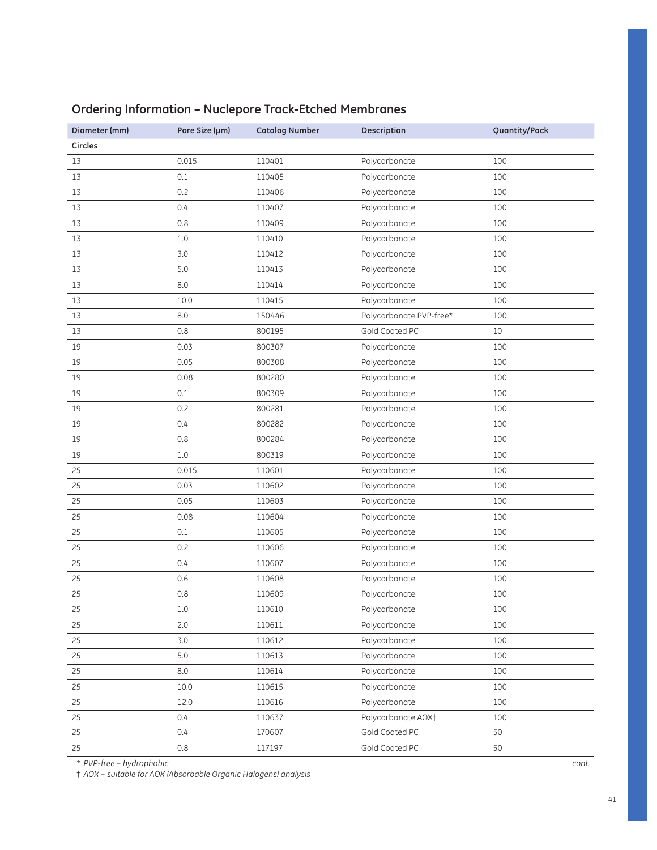| Diameter (mm) | Pore Size (µm) | <b>Catalog Number</b> | Description                    | Quantity/Pack |
|---------------|----------------|-----------------------|--------------------------------|---------------|
| Circles       |                |                       |                                |               |
| 13            | 0.015          | 110401                | Polycarbonate                  | 100           |
| 13            | 0.1            | 110405                | Polycarbonate                  | 100           |
| 13            | 0.2            | 110406                | Polycarbonate                  | 100           |
| 13            | 0.4            | 110407                | Polycarbonate                  | 100           |
| 13            | 0.8            | 110409                | Polycarbonate                  | 100           |
| 13            | $1.0\,$        | 110410                | Polycarbonate                  | 100           |
| 13            | 3.0            | 110412                | Polycarbonate                  | 100           |
| 13            | 5.0            | 110413                | Polycarbonate                  | 100           |
| 13            | 8.0            | 110414                | Polycarbonate                  | 100           |
| 13            | 10.0           | 110415                | Polycarbonate                  | 100           |
| 13            | 8.0            | 150446                | Polycarbonate PVP-free*        | 100           |
| 13            | 0.8            | 800195                | Gold Coated PC                 | 10            |
| 19            | 0.03           | 800307                | Polycarbonate                  | 100           |
| 19            | 0.05           | 800308                | Polycarbonate                  | 100           |
| 19            | 0.08           | 800280                | Polycarbonate                  | 100           |
| 19            | 0.1            | 800309                | Polycarbonate                  | 100           |
| 19            | 0.2            | 800281                | Polycarbonate                  | 100           |
| 19            | 0.4            | 800282                | Polycarbonate                  | 100           |
| 19            | 0.8            | 800284                | Polycarbonate                  | 100           |
| 19            | $1.0\,$        | 800319                | Polycarbonate                  | 100           |
| 25            | 0.015          | 110601                | Polycarbonate                  | 100           |
| 25            | 0.03           | 110602                | Polycarbonate                  | 100           |
| 25            | 0.05           | 110603                | Polycarbonate                  | 100           |
| 25            | 0.08           | 110604                | Polycarbonate                  | 100           |
| 25            | 0.1            | 110605                | Polycarbonate                  | 100           |
| 25            | 0.2            | 110606                | Polycarbonate                  | 100           |
| 25            | 0.4            | 110607                | Polycarbonate                  | 100           |
| 25            | 0.6            | 110608                | Polycarbonate                  | 100           |
| 25            | 0.8            | 110609                | Polycarbonate                  | 100           |
| 25            | $1.0\,$        | 110610                | Polycarbonate                  | 100           |
| 25            | 2.0            | 110611                | Polycarbonate                  | 100           |
| 25            | 3.0            | 110612                | Polycarbonate                  | 100           |
| 25            | 5.0            | 110613                | Polycarbonate                  | 100           |
| 25            | $8.0\,$        | 110614                | Polycarbonate                  | 100           |
| 25            | 10.0           | 110615                | Polycarbonate                  | 100           |
| 25            | 12.0           | 110616                | Polycarbonate                  | 100           |
| 25            | 0.4            | 110637                | Polycarbonate AOX <sup>+</sup> | 100           |
| 25            | 0.4            | 170607                | Gold Coated PC                 | 50            |
| 25            | $0.8\,$        | 117197                | Gold Coated PC                 | 50            |

## **Ordering Information – Nuclepore Track-Etched Membranes**

\* *PVP-free – hydrophobic*

† *AOX – suitable for AOX (Absorbable Organic Halogens) analysis*

*cont.*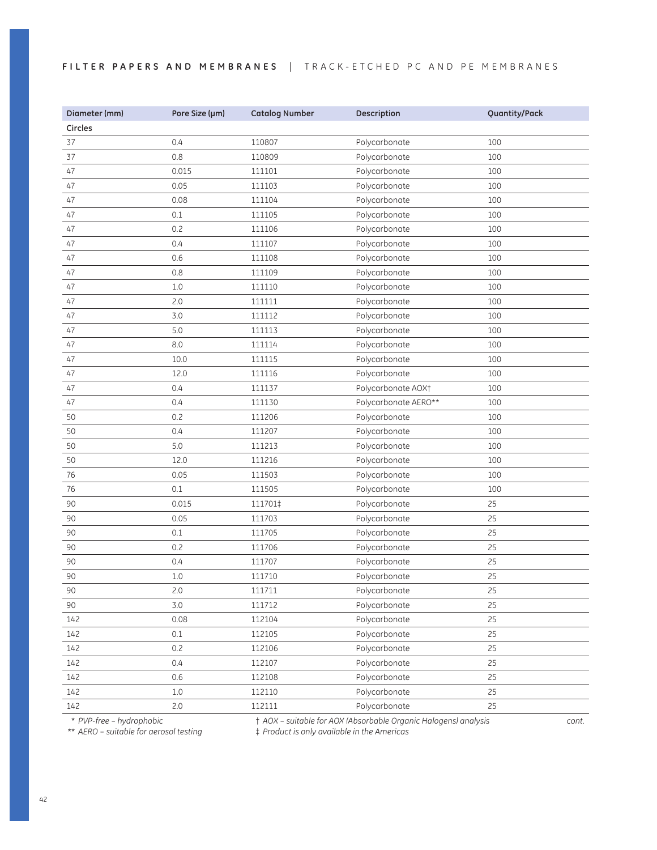### FILTER PAPERS AND MEMBRANES | TRACK-ETCHED PC AND PE MEMBRANES

| Diameter (mm) | Pore Size (µm) | <b>Catalog Number</b> | Description                    | Quantity/Pack |
|---------------|----------------|-----------------------|--------------------------------|---------------|
| Circles       |                |                       |                                |               |
| 37            | 0.4            | 110807                | Polycarbonate                  | 100           |
| 37            | 0.8            | 110809                | Polycarbonate                  | 100           |
| 47            | 0.015          | 111101                | Polycarbonate                  | 100           |
| 47            | 0.05           | 111103                | Polycarbonate                  | 100           |
| 47            | 0.08           | 111104                | Polycarbonate                  | 100           |
| 47            | $0.1\,$        | 111105                | Polycarbonate                  | 100           |
| 47            | 0.2            | 111106                | Polycarbonate                  | 100           |
| 47            | 0.4            | 111107                | Polycarbonate                  | 100           |
| 47            | 0.6            | 111108                | Polycarbonate                  | 100           |
| 47            | 0.8            | 111109                | Polycarbonate                  | 100           |
| 47            | $1.0$          | 111110                | Polycarbonate                  | 100           |
| 47            | 2.0            | 111111                | Polycarbonate                  | 100           |
| 47            | 3.0            | 111112                | Polycarbonate                  | 100           |
| 47            | 5.0            | 111113                | Polycarbonate                  | 100           |
| 47            | 8.0            | 111114                | Polycarbonate                  | 100           |
| 47            | 10.0           | 111115                | Polycarbonate                  | 100           |
| 47            | 12.0           | 111116                | Polycarbonate                  | 100           |
| 47            | 0.4            | 111137                | Polycarbonate AOX <sup>+</sup> | 100           |
| 47            | 0.4            | 111130                | Polycarbonate AERO**           | 100           |
| 50            | 0.2            | 111206                | Polycarbonate                  | 100           |
| 50            | 0.4            | 111207                | Polycarbonate                  | 100           |
| 50            | 5.0            | 111213                | Polycarbonate                  | 100           |
| 50            | 12.0           | 111216                | Polycarbonate                  | 100           |
| 76            | 0.05           | 111503                | Polycarbonate                  | 100           |
| 76            | 0.1            | 111505                | Polycarbonate                  | 100           |
| 90            | 0.015          | 111701‡               | Polycarbonate                  | 25            |
| 90            | 0.05           | 111703                | Polycarbonate                  | 25            |
| 90            | 0.1            | 111705                | Polycarbonate                  | 25            |
| 90            | 0.2            | 111706                | Polycarbonate                  | 25            |
| 90            | 0.4            | 111707                | Polycarbonate                  | 25            |
| 90            | $1.0$          | 111710                | Polycarbonate                  | 25            |
| 90            | 2.0            | 111711                | Polycarbonate                  | 25            |
| 90            | 3.0            | 111712                | Polycarbonate                  | 25            |
| 142           | 0.08           | 112104                | Polycarbonate                  | 25            |
| 142           | $0.1\,$        | 112105                | Polycarbonate                  | 25            |
| 142           | 0.2            | 112106                | Polycarbonate                  | 25            |
| 142           | 0.4            | 112107                | Polycarbonate                  | 25            |
| 142           | 0.6            | 112108                | Polycarbonate                  | 25            |
| 142           | $1.0\,$        | 112110                | Polycarbonate                  | 25            |
| 142           | 2.0            | 112111                | Polycarbonate                  | 25            |

\* *PVP-free – hydrophobic*

† *AOX – suitable for AOX (Absorbable Organic Halogens) analysis* 

 *\**\* *AERO – suitable for aerosol testing*

‡ *Product is only available in the Americas*

*cont.*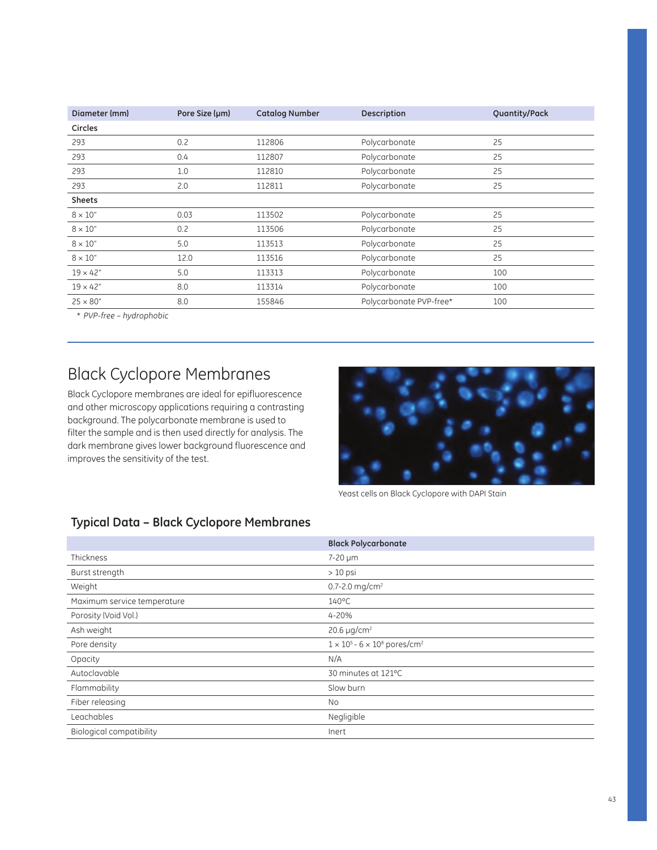| Diameter (mm)   | Pore Size (µm) | <b>Catalog Number</b> | Description             | Quantity/Pack |
|-----------------|----------------|-----------------------|-------------------------|---------------|
| <b>Circles</b>  |                |                       |                         |               |
| 293             | 0.2            | 112806                | Polycarbonate           | 25            |
| 293             | 0.4            | 112807                | Polycarbonate           | 25            |
| 293             | 1.0            | 112810                | Polycarbonate           | 25            |
| 293             | 2.0            | 112811                | Polycarbonate           | 25            |
| <b>Sheets</b>   |                |                       |                         |               |
| $8 \times 10"$  | 0.03           | 113502                | Polycarbonate           | 25            |
| $8 \times 10"$  | 0.2            | 113506                | Polycarbonate           | 25            |
| $8 \times 10"$  | 5.0            | 113513                | Polycarbonate           | 25            |
| $8 \times 10"$  | 12.0           | 113516                | Polycarbonate           | 25            |
| $19 \times 42"$ | 5.0            | 113313                | Polycarbonate           | 100           |
| $19 \times 42"$ | 8.0            | 113314                | Polycarbonate           | 100           |
| $25 \times 80"$ | 8.0            | 155846                | Polycarbonate PVP-free* | 100           |
|                 |                |                       |                         |               |

\* *PVP-free – hydrophobic*

## Black Cyclopore Membranes

Black Cyclopore membranes are ideal for epifluorescence and other microscopy applications requiring a contrasting background. The polycarbonate membrane is used to filter the sample and is then used directly for analysis. The dark membrane gives lower background fluorescence and improves the sensitivity of the test.



Yeast cells on Black Cyclopore with DAPI Stain

## **Typical Data – Black Cyclopore Membranes**

|                                 | <b>Black Polycarbonate</b>                                         |
|---------------------------------|--------------------------------------------------------------------|
| Thickness                       | 7-20 µm                                                            |
| Burst strength                  | $>10$ psi                                                          |
| Weight                          | 0.7-2.0 mg/cm <sup>2</sup>                                         |
| Maximum service temperature     | $140^{\circ}$ C                                                    |
| Porosity (Void Vol.)            | 4-20%                                                              |
| Ash weight                      | 20.6 µg/cm <sup>2</sup>                                            |
| Pore density                    | $1 \times 10^5$ - 6 $\times$ 10 <sup>8</sup> pores/cm <sup>2</sup> |
| Opacity                         | N/A                                                                |
| Autoclavable                    | 30 minutes at 121°C                                                |
| Flammability                    | Slow burn                                                          |
| Fiber releasing                 | <b>No</b>                                                          |
| Leachables                      | Negligible                                                         |
| <b>Biological compatibility</b> | Inert                                                              |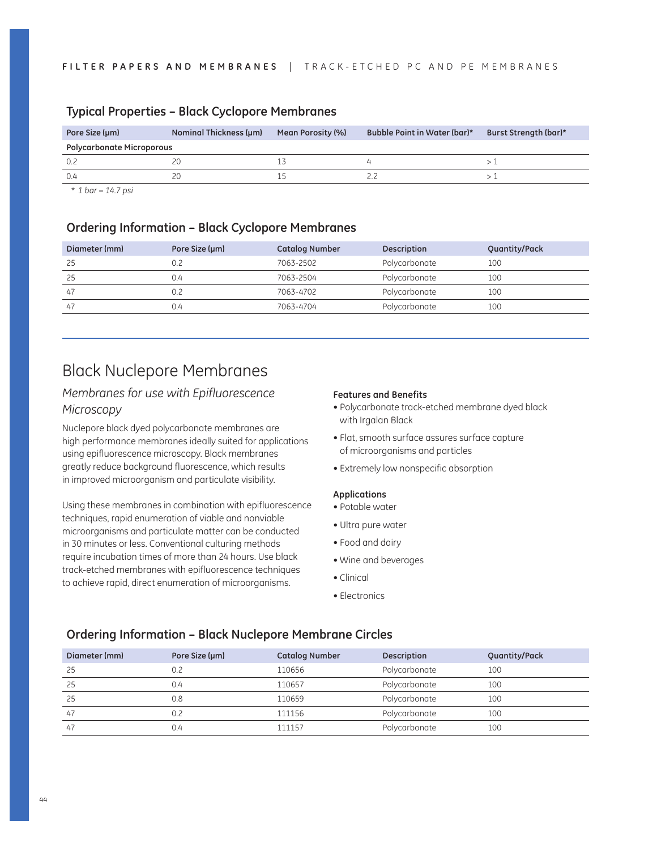| Pore Size (µm)                   | Nominal Thickness (µm) | Mean Porosity (%) | Bubble Point in Water (bar)* | Burst Strength (bar)* |
|----------------------------------|------------------------|-------------------|------------------------------|-----------------------|
| <b>Polycarbonate Microporous</b> |                        |                   |                              |                       |
| 0.2                              |                        |                   |                              |                       |
| 0.4                              |                        |                   |                              |                       |

### **Typical Properties – Black Cyclopore Membranes**

\* *1 bar = 14.7 psi*

### **Ordering Information – Black Cyclopore Membranes**

| Diameter (mm) | Pore Size (µm) | <b>Catalog Number</b> | Description   | Quantity/Pack |
|---------------|----------------|-----------------------|---------------|---------------|
| 25            | 0.2            | 7063-2502             | Polycarbonate | 100           |
| 25            | 0.4            | 7063-2504             | Polycarbonate | 100           |
| 47            | 0.2            | 7063-4702             | Polycarbonate | 100           |
| 47            | 0.4            | 7063-4704             | Polycarbonate | 100           |

## Black Nuclepore Membranes

### *Membranes for use with Epifluorescence Microscopy*

Nuclepore black dyed polycarbonate membranes are high performance membranes ideally suited for applications using epifluorescence microscopy. Black membranes greatly reduce background fluorescence, which results in improved microorganism and particulate visibility.

Using these membranes in combination with epifluorescence techniques, rapid enumeration of viable and nonviable microorganisms and particulate matter can be conducted in 30 minutes or less. Conventional culturing methods require incubation times of more than 24 hours. Use black track-etched membranes with epifluorescence techniques to achieve rapid, direct enumeration of microorganisms.

#### **Features and Benefits**

- Polycarbonate track-etched membrane dyed black with Irgalan Black
- Flat, smooth surface assures surface capture of microorganisms and particles
- Extremely low nonspecific absorption

#### **Applications**

- Potable water
- Ultra pure water
- Food and dairy
- Wine and beverages
- Clinical
- Electronics

### **Ordering Information – Black Nuclepore Membrane Circles**

| Diameter (mm) | Pore Size (µm) | <b>Catalog Number</b> | Description   | Quantity/Pack |
|---------------|----------------|-----------------------|---------------|---------------|
| 25            | 0.2            | 110656                | Polycarbonate | 100           |
| 25            | 0.4            | 110657                | Polycarbonate | 100           |
| 25            | 0.8            | 110659                | Polycarbonate | 100           |
| 47            | 0.2            | 111156                | Polycarbonate | 100           |
| 47            | 0.4            | 111157                | Polycarbonate | 100           |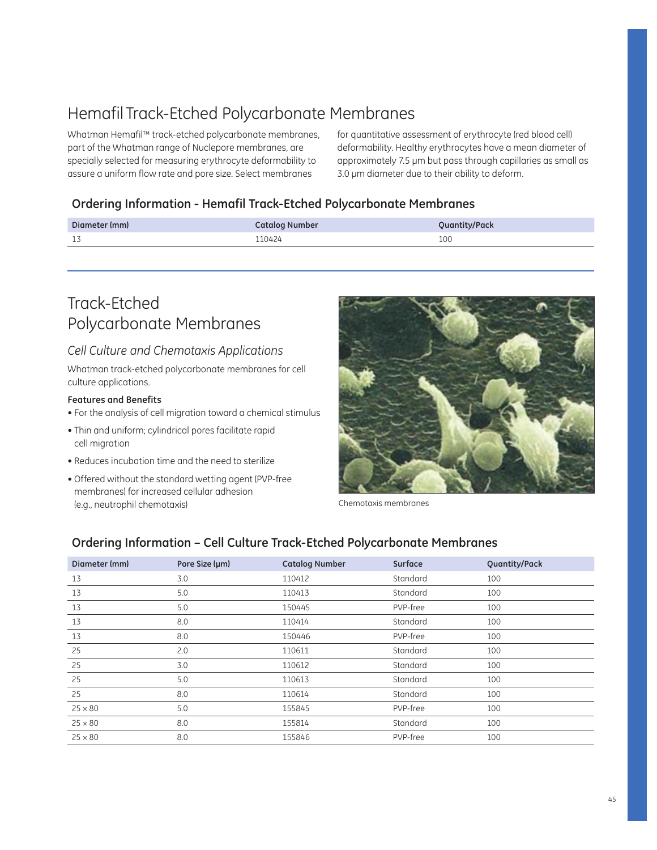## Hemafil Track-Etched Polycarbonate Membranes

Whatman Hemafil™ track-etched polycarbonate membranes, part of the Whatman range of Nuclepore membranes, are specially selected for measuring erythrocyte deformability to assure a uniform flow rate and pore size. Select membranes

for quantitative assessment of erythrocyte (red blood cell) deformability. Healthy erythrocytes have a mean diameter of approximately 7.5 µm but pass through capillaries as small as 3.0 µm diameter due to their ability to deform.

### **Ordering Information - Hemafil Track-Etched Polycarbonate Membranes**

| Diameter (mm) | <b>Catalog Number</b> | Quantity/Pack |
|---------------|-----------------------|---------------|
| 17<br>-44     | 110424                | 100           |

## Track-Etched Polycarbonate Membranes

### *Cell Culture and Chemotaxis Applications*

Whatman track-etched polycarbonate membranes for cell culture applications.

### **Features and Benefits**

- For the analysis of cell migration toward a chemical stimulus
- Thin and uniform; cylindrical pores facilitate rapid cell migration
- Reduces incubation time and the need to sterilize
- Offered without the standard wetting agent (PVP-free membranes) for increased cellular adhesion (e.g., neutrophil chemotaxis)



Chemotaxis membranes

### **Ordering Information – Cell Culture Track-Etched Polycarbonate Membranes**

| Diameter (mm)  | Pore Size (µm) | <b>Catalog Number</b> | Surface  | Quantity/Pack |
|----------------|----------------|-----------------------|----------|---------------|
| 13             | 3.0            | 110412                | Standard | 100           |
| 13             | 5.0            | 110413                | Standard | 100           |
| 13             | 5.0            | 150445                | PVP-free | 100           |
| 13             | 8.0            | 110414                | Standard | 100           |
| 13             | 8.0            | 150446                | PVP-free | 100           |
| 25             | 2.0            | 110611                | Standard | 100           |
| 25             | 3.0            | 110612                | Standard | 100           |
| 25             | 5.0            | 110613                | Standard | 100           |
| 25             | 8.0            | 110614                | Standard | 100           |
| $25 \times 80$ | 5.0            | 155845                | PVP-free | 100           |
| $25 \times 80$ | 8.0            | 155814                | Standard | 100           |
| $25 \times 80$ | 8.0            | 155846                | PVP-free | 100           |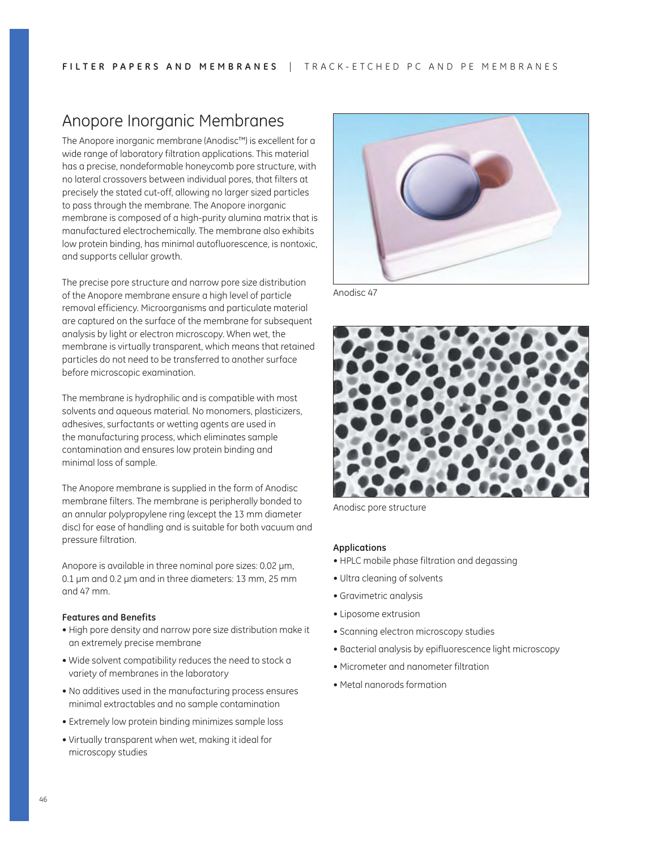## Anopore Inorganic Membranes

The Anopore inorganic membrane (Anodisc™) is excellent for a wide range of laboratory filtration applications. This material has a precise, nondeformable honeycomb pore structure, with no lateral crossovers between individual pores, that filters at precisely the stated cut-off, allowing no larger sized particles to pass through the membrane. The Anopore inorganic membrane is composed of a high-purity alumina matrix that is manufactured electrochemically. The membrane also exhibits low protein binding, has minimal autofluorescence, is nontoxic, and supports cellular growth.

The precise pore structure and narrow pore size distribution of the Anopore membrane ensure a high level of particle removal efficiency. Microorganisms and particulate material are captured on the surface of the membrane for subsequent analysis by light or electron microscopy. When wet, the membrane is virtually transparent, which means that retained particles do not need to be transferred to another surface before microscopic examination.

The membrane is hydrophilic and is compatible with most solvents and aqueous material. No monomers, plasticizers, adhesives, surfactants or wetting agents are used in the manufacturing process, which eliminates sample contamination and ensures low protein binding and minimal loss of sample.

The Anopore membrane is supplied in the form of Anodisc membrane filters. The membrane is peripherally bonded to an annular polypropylene ring (except the 13 mm diameter disc) for ease of handling and is suitable for both vacuum and pressure filtration.

Anopore is available in three nominal pore sizes: 0.02 µm, 0.1 µm and 0.2 µm and in three diameters: 13 mm, 25 mm and 47 mm.

#### **Features and Benefits**

- High pore density and narrow pore size distribution make it an extremely precise membrane
- Wide solvent compatibility reduces the need to stock a variety of membranes in the laboratory
- No additives used in the manufacturing process ensures minimal extractables and no sample contamination
- Extremely low protein binding minimizes sample loss
- Virtually transparent when wet, making it ideal for microscopy studies



Anodisc 47



Anodisc pore structure

#### **Applications**

- HPLC mobile phase filtration and degassing
- Ultra cleaning of solvents
- $\bullet$  Gravimetric analysis
- Liposome extrusion
- Scanning electron microscopy studies
- Bacterial analysis by epifluorescence light microscopy
- $\bullet$  Micrometer and nanometer filtration
- Metal nanorods formation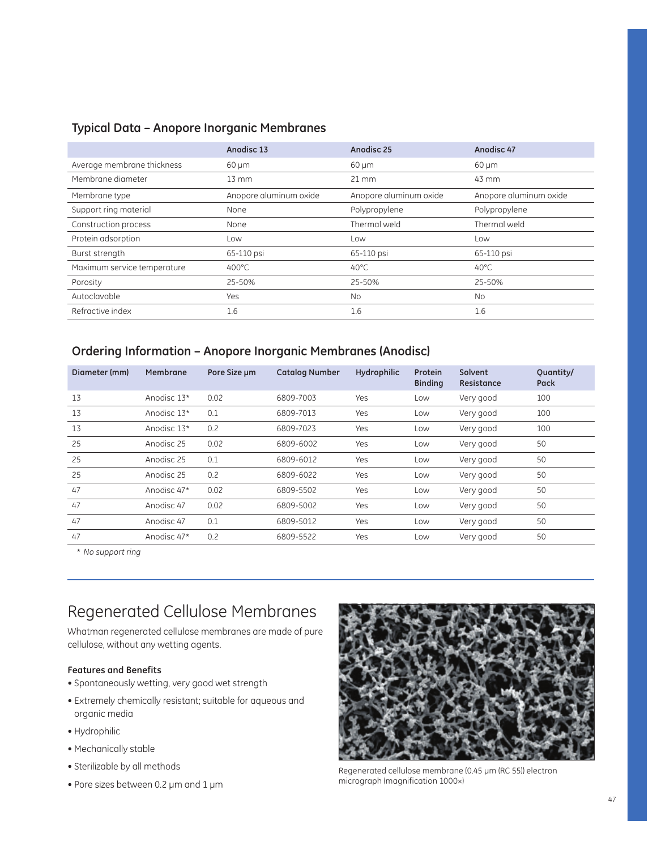### **Typical Data – Anopore Inorganic Membranes**

|                             | Anodisc 13             | Anodisc 25             | Anodisc 47             |
|-----------------------------|------------------------|------------------------|------------------------|
| Average membrane thickness  | $60 \mu m$             | $60 \mu m$             | $60 \mu m$             |
| Membrane diameter           | $13 \, \text{mm}$      | $21 \, \text{mm}$      | 43 mm                  |
| Membrane type               | Anopore aluminum oxide | Anopore aluminum oxide | Anopore aluminum oxide |
| Support ring material       | None                   | Polypropylene          | Polypropylene          |
| Construction process        | None                   | Thermal weld           | Thermal weld           |
| Protein adsorption          | Low                    | Low                    | Low                    |
| Burst strength              | 65-110 psi             | 65-110 psi             | 65-110 psi             |
| Maximum service temperature | $400^{\circ}$ C        | $40^{\circ}$ C         | $40^{\circ}$ C         |
| Porosity                    | 25-50%                 | 25-50%                 | 25-50%                 |
| Autoclavable                | Yes                    | <b>No</b>              | No                     |
| Refractive index            | 1.6                    | 1.6                    | 1.6                    |

### **Ordering Information – Anopore Inorganic Membranes (Anodisc)**

| Diameter (mm) | Membrane    | Pore Size um | <b>Catalog Number</b> | <b>Hydrophilic</b> | Protein<br><b>Binding</b> | Solvent<br>Resistance | Quantity/<br>Pack |
|---------------|-------------|--------------|-----------------------|--------------------|---------------------------|-----------------------|-------------------|
| 13            | Anodisc 13* | 0.02         | 6809-7003             | Yes                | Low                       | Very good             | 100               |
| 13            | Anodisc 13* | 0.1          | 6809-7013             | Yes                | Low                       | Very good             | 100               |
| 13            | Anodisc 13* | 0.2          | 6809-7023             | Yes                | Low                       | Very good             | 100               |
| 25            | Anodisc 25  | 0.02         | 6809-6002             | Yes                | Low                       | Very good             | 50                |
| 25            | Anodisc 25  | 0.1          | 6809-6012             | Yes                | Low                       | Very good             | 50                |
| 25            | Anodisc 25  | 0.2          | 6809-6022             | Yes                | Low                       | Very good             | 50                |
| 47            | Anodisc 47* | 0.02         | 6809-5502             | Yes                | Low                       | Very good             | 50                |
| 47            | Anodisc 47  | 0.02         | 6809-5002             | Yes                | Low                       | Very good             | 50                |
| 47            | Anodisc 47  | 0.1          | 6809-5012             | Yes                | Low                       | Very good             | 50                |
| 47            | Anodisc 47* | 0.2          | 6809-5522             | Yes                | Low                       | Very good             | 50                |

\* *No support ring*

## Regenerated Cellulose Membranes

Whatman regenerated cellulose membranes are made of pure cellulose, without any wetting agents.

### **Features and Benefits**

- Spontaneously wetting, very good wet strength
- $\bullet$  Extremely chemically resistant; suitable for aqueous and organic media
- Hydrophilic
- Mechanically stable
- Sterilizable by all methods
- $\bullet$  Pore sizes between 0.2 µm and 1 µm



Regenerated cellulose membrane (0.45 µm (RC 55)) electron micrograph (magnification 1000×)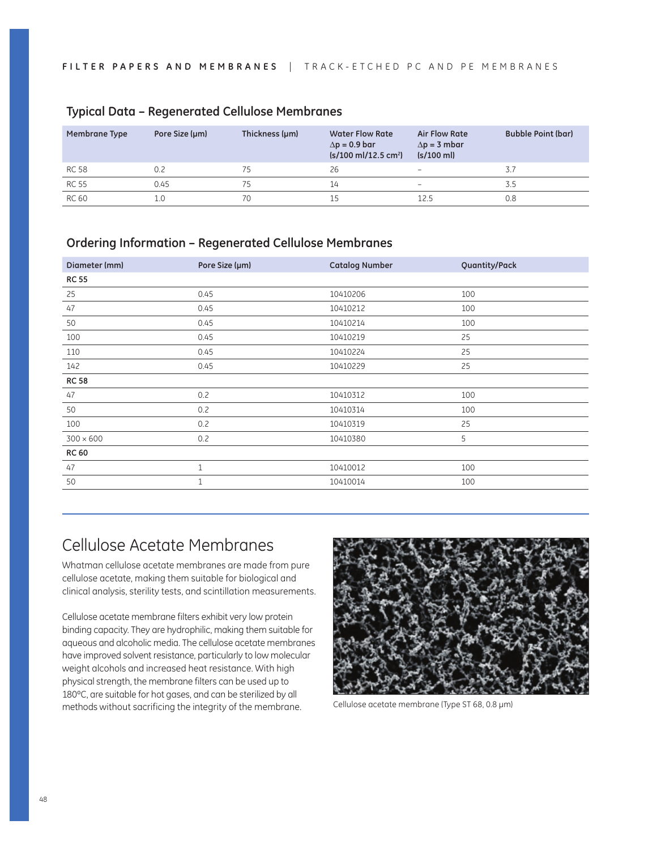| Membrane Type | Pore Size (µm) | Thickness (µm) | <b>Water Flow Rate</b><br>$\Delta p = 0.9$ bar<br>$(s/100 \text{ ml}/12.5 \text{ cm}^2)$ | <b>Air Flow Rate</b><br>$\Delta p = 3$ mbar<br>$(s/100 \text{ ml})$ | <b>Bubble Point (bar)</b> |
|---------------|----------------|----------------|------------------------------------------------------------------------------------------|---------------------------------------------------------------------|---------------------------|
| RC 58         | 0.2            | 75             | 26                                                                                       | $\overline{\phantom{a}}$                                            | 3.7                       |
| RC 55         | 0.45           | 75             | 14                                                                                       | $\overline{\phantom{a}}$                                            | 3.5                       |
| RC 60         |                | 70             | 15                                                                                       | 12.5                                                                | 0.8                       |

### **Typical Data – Regenerated Cellulose Membranes**

### **Ordering Information – Regenerated Cellulose Membranes**

| Diameter (mm)    | Pore Size (µm) | <b>Catalog Number</b> | Quantity/Pack |
|------------------|----------------|-----------------------|---------------|
| <b>RC 55</b>     |                |                       |               |
| 25               | 0.45           | 10410206              | 100           |
| 47               | 0.45           | 10410212              | 100           |
| 50               | 0.45           | 10410214              | 100           |
| 100              | 0.45           | 10410219              | 25            |
| 110              | 0.45           | 10410224              | 25            |
| 142              | 0.45           | 10410229              | 25            |
| <b>RC 58</b>     |                |                       |               |
| 47               | 0.2            | 10410312              | 100           |
| 50               | 0.2            | 10410314              | 100           |
| 100              | 0.2            | 10410319              | 25            |
| $300 \times 600$ | 0.2            | 10410380              | 5             |
| <b>RC 60</b>     |                |                       |               |
| 47               | $\mathbf{1}$   | 10410012              | 100           |
| 50               | $\mathbf{1}$   | 10410014              | 100           |
|                  |                |                       |               |

## Cellulose Acetate Membranes

Whatman cellulose acetate membranes are made from pure cellulose acetate, making them suitable for biological and clinical analysis, sterility tests, and scintillation measurements.

Cellulose acetate membrane filters exhibit very low protein binding capacity. They are hydrophilic, making them suitable for aqueous and alcoholic media. The cellulose acetate membranes have improved solvent resistance, particularly to low molecular weight alcohols and increased heat resistance. With high physical strength, the membrane filters can be used up to 180ºC, are suitable for hot gases, and can be sterilized by all methods without sacrificing the integrity of the membrane. Cellulose acetate membrane (Type ST 68, 0.8 µm)

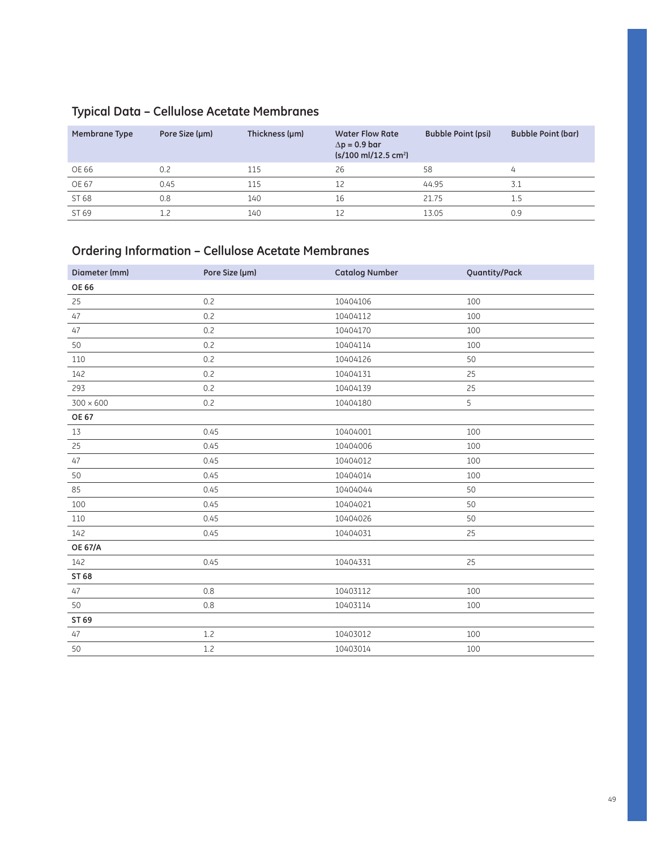## **Typical Data – Cellulose Acetate Membranes**

| Membrane Type | Pore Size (µm) | Thickness (µm) | <b>Water Flow Rate</b><br>$\Delta p = 0.9$ bar<br>$(s/100 \text{ ml}/12.5 \text{ cm}^2)$ | <b>Bubble Point (psi)</b> | <b>Bubble Point (bar)</b> |
|---------------|----------------|----------------|------------------------------------------------------------------------------------------|---------------------------|---------------------------|
| OE 66         | 0.2            | 115            | 26                                                                                       | 58                        | 4                         |
| OE 67         | 0.45           | 115            | 12                                                                                       | 44.95                     | 3.1                       |
| ST 68         | 0.8            | 140            | 16                                                                                       | 21.75                     | 1.5                       |
| ST 69         |                | 140            |                                                                                          | 13.05                     | 0.9                       |

## **Ordering Information – Cellulose Acetate Membranes**

| Diameter (mm)    | Pore Size (µm) | <b>Catalog Number</b> | Quantity/Pack |
|------------------|----------------|-----------------------|---------------|
| <b>OE 66</b>     |                |                       |               |
| 25               | 0.2            | 10404106              | 100           |
| 47               | 0.2            | 10404112              | 100           |
| 47               | 0.2            | 10404170              | 100           |
| 50               | 0.2            | 10404114              | 100           |
| 110              | 0.2            | 10404126              | 50            |
| 142              | 0.2            | 10404131              | 25            |
| 293              | 0.2            | 10404139              | 25            |
| $300 \times 600$ | 0.2            | 10404180              | 5             |
| <b>OE 67</b>     |                |                       |               |
| 13               | 0.45           | 10404001              | 100           |
| 25               | 0.45           | 10404006              | 100           |
| 47               | 0.45           | 10404012              | 100           |
| 50               | 0.45           | 10404014              | 100           |
| 85               | 0.45           | 10404044              | 50            |
| 100              | 0.45           | 10404021              | 50            |
| 110              | 0.45           | 10404026              | 50            |
| 142              | 0.45           | 10404031              | 25            |
| <b>OE 67/A</b>   |                |                       |               |
| 142              | 0.45           | 10404331              | 25            |
| ST 68            |                |                       |               |
| 47               | 0.8            | 10403112              | 100           |
| 50               | 0.8            | 10403114              | 100           |
| ST 69            |                |                       |               |
| 47               | 1.2            | 10403012              | 100           |
| 50               | 1.2            | 10403014              | 100           |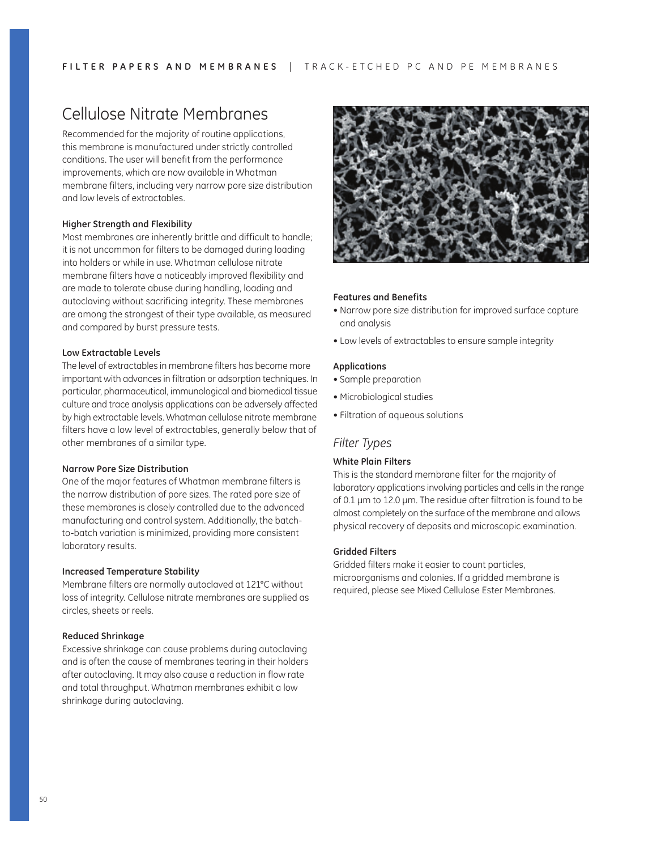## Cellulose Nitrate Membranes

Recommended for the majority of routine applications, this membrane is manufactured under strictly controlled conditions. The user will benefit from the performance improvements, which are now available in Whatman membrane filters, including very narrow pore size distribution and low levels of extractables.

### **Higher Strength and Flexibility**

Most membranes are inherently brittle and difficult to handle; it is not uncommon for filters to be damaged during loading into holders or while in use. Whatman cellulose nitrate membrane filters have a noticeably improved flexibility and are made to tolerate abuse during handling, loading and autoclaving without sacrificing integrity. These membranes are among the strongest of their type available, as measured and compared by burst pressure tests.

### **Low Extractable Levels**

The level of extractables in membrane filters has become more important with advances in filtration or adsorption techniques. In particular, pharmaceutical, immunological and biomedical tissue culture and trace analysis applications can be adversely affected by high extractable levels. Whatman cellulose nitrate membrane filters have a low level of extractables, generally below that of other membranes of a similar type.

#### **Narrow Pore Size Distribution**

One of the major features of Whatman membrane filters is the narrow distribution of pore sizes. The rated pore size of these membranes is closely controlled due to the advanced manufacturing and control system. Additionally, the batchto-batch variation is minimized, providing more consistent laboratory results.

#### **Increased Temperature Stability**

Membrane filters are normally autoclaved at 121°C without loss of integrity. Cellulose nitrate membranes are supplied as circles, sheets or reels.

#### **Reduced Shrinkage**

Excessive shrinkage can cause problems during autoclaving and is often the cause of membranes tearing in their holders after autoclaving. It may also cause a reduction in flow rate and total throughput. Whatman membranes exhibit a low shrinkage during autoclaving.



#### **Features and Benefits**

- Narrow pore size distribution for improved surface capture and analysis
- Low levels of extractables to ensure sample integrity

#### **Applications**

- Sample preparation
- Microbiological studies
- Filtration of aqueous solutions

### *Filter Types*

#### **White Plain Filters**

This is the standard membrane filter for the majority of laboratory applications involving particles and cells in the range of 0.1 µm to 12.0 µm. The residue after filtration is found to be almost completely on the surface of the membrane and allows physical recovery of deposits and microscopic examination.

#### **Gridded Filters**

Gridded filters make it easier to count particles, microorganisms and colonies. If a gridded membrane is required, please see Mixed Cellulose Ester Membranes.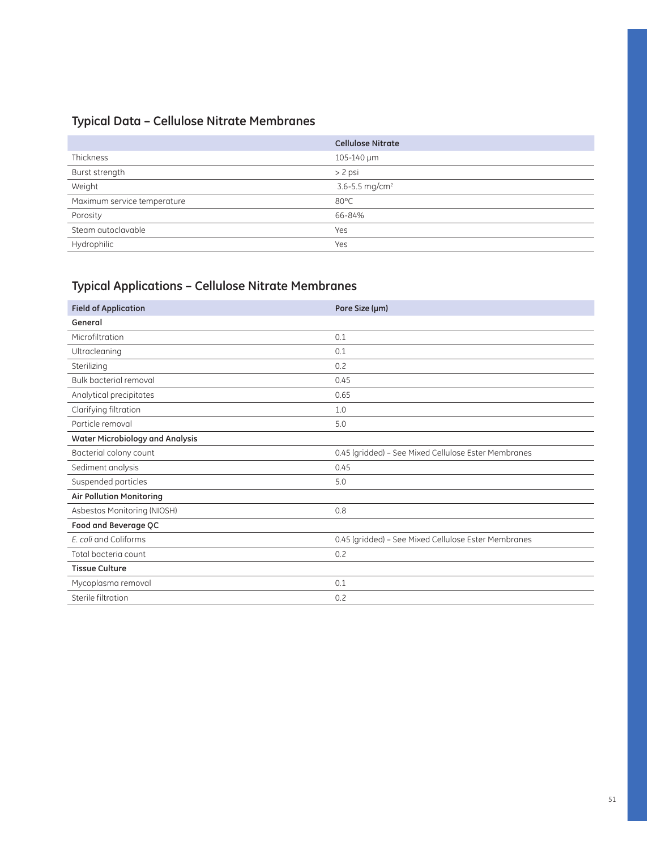## **Typical Data – Cellulose Nitrate Membranes**

|                             | <b>Cellulose Nitrate</b>   |
|-----------------------------|----------------------------|
| Thickness                   | 105-140 µm                 |
| Burst strength              | $> 2$ psi                  |
| Weight                      | 3.6-5.5 mg/cm <sup>2</sup> |
| Maximum service temperature | $80^{\circ}$ C             |
| Porosity                    | 66-84%                     |
| Steam autoclavable          | Yes                        |
| Hydrophilic                 | Yes                        |

## **Typical Applications – Cellulose Nitrate Membranes**

| <b>Field of Application</b>     | Pore Size (µm)                                       |
|---------------------------------|------------------------------------------------------|
| General                         |                                                      |
| Microfiltration                 | 0.1                                                  |
| Ultracleaning                   | 0.1                                                  |
| Sterilizing                     | 0.2                                                  |
| Bulk bacterial removal          | 0.45                                                 |
| Analytical precipitates         | 0.65                                                 |
| Clarifying filtration           | 1.0                                                  |
| Particle removal                | 5.0                                                  |
| Water Microbiology and Analysis |                                                      |
| Bacterial colony count          | 0.45 (gridded) - See Mixed Cellulose Ester Membranes |
| Sediment analysis               | 0.45                                                 |
| Suspended particles             | 5.0                                                  |
| <b>Air Pollution Monitoring</b> |                                                      |
| Asbestos Monitoring (NIOSH)     | 0.8                                                  |
| Food and Beverage QC            |                                                      |
| E. coli and Coliforms           | 0.45 (gridded) - See Mixed Cellulose Ester Membranes |
| Total bacteria count            | 0.2                                                  |
| <b>Tissue Culture</b>           |                                                      |
| Mycoplasma removal              | 0.1                                                  |
| Sterile filtration              | 0.2                                                  |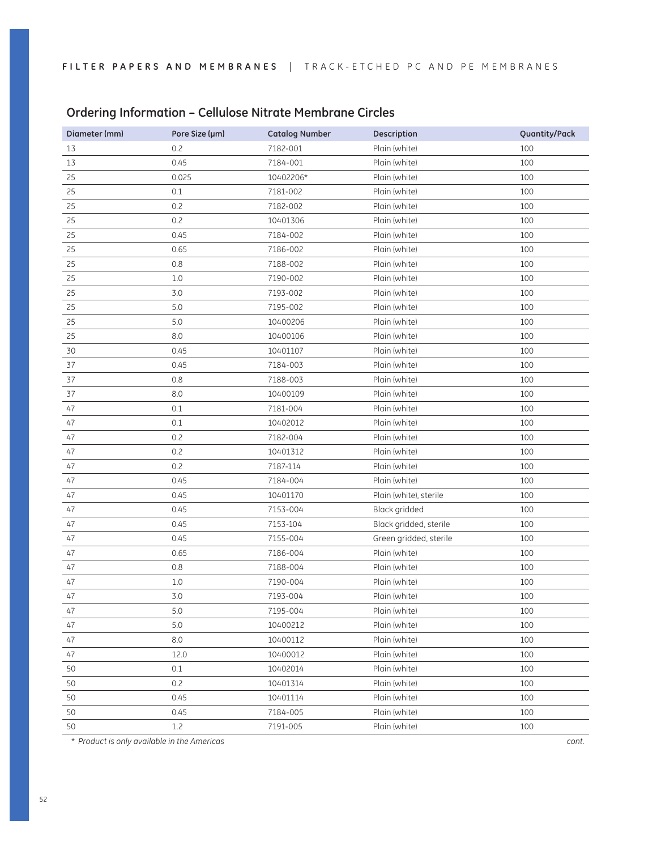| Diameter (mm) | Pore Size (µm) | <b>Catalog Number</b> | <b>Description</b>     | Quantity/Pack |
|---------------|----------------|-----------------------|------------------------|---------------|
| 13            | 0.2            | 7182-001              | Plain (white)          | 100           |
| 13            | 0.45           | 7184-001              | Plain (white)          | 100           |
| 25            | 0.025          | 10402206*             | Plain (white)          | 100           |
| 25            | 0.1            | 7181-002              | Plain (white)          | 100           |
| 25            | 0.2            | 7182-002              | Plain (white)          | 100           |
| 25            | 0.2            | 10401306              | Plain (white)          | 100           |
| 25            | 0.45           | 7184-002              | Plain (white)          | 100           |
| 25            | 0.65           | 7186-002              | Plain (white)          | 100           |
| 25            | 0.8            | 7188-002              | Plain (white)          | 100           |
| 25            | 1.0            | 7190-002              | Plain (white)          | 100           |
| 25            | 3.0            | 7193-002              | Plain (white)          | 100           |
| 25            | $5.0$          | 7195-002              | Plain (white)          | 100           |
| 25            | $5.0$          | 10400206              | Plain (white)          | 100           |
| 25            | 8.0            | 10400106              | Plain (white)          | 100           |
| 30            | 0.45           | 10401107              | Plain (white)          | 100           |
| 37            | 0.45           | 7184-003              | Plain (white)          | 100           |
| 37            | 0.8            | 7188-003              | Plain (white)          | 100           |
| 37            | 8.0            | 10400109              | Plain (white)          | 100           |
| 47            | 0.1            | 7181-004              | Plain (white)          | 100           |
| 47            | 0.1            | 10402012              | Plain (white)          | 100           |
| 47            | 0.2            | 7182-004              | Plain (white)          | 100           |
| 47            | 0.2            | 10401312              | Plain (white)          | 100           |
| 47            | 0.2            | 7187-114              | Plain (white)          | 100           |
| 47            | 0.45           | 7184-004              | Plain (white)          | 100           |
| 47            | 0.45           | 10401170              | Plain (white), sterile | 100           |
| 47            | 0.45           | 7153-004              | Black gridded          | 100           |
| 47            | 0.45           | 7153-104              | Black gridded, sterile | 100           |
| 47            | 0.45           | 7155-004              | Green gridded, sterile | 100           |
| 47            | 0.65           | 7186-004              | Plain (white)          | 100           |
| 47            | 0.8            | 7188-004              | Plain (white)          | 100           |
| 47            | 1.0            | 7190-004              | Plain (white)          | 100           |
| 47            | 3.0            | 7193-004              | Plain (white)          | 100           |
| 47            | 5.0            | 7195-004              | Plain (white)          | 100           |
| 47            | $5.0$          | 10400212              | Plain (white)          | 100           |
| 47            | 8.0            | 10400112              | Plain (white)          | 100           |
| 47            | 12.0           | 10400012              | Plain (white)          | 100           |
| 50            | 0.1            | 10402014              | Plain (white)          | 100           |
| 50            | 0.2            | 10401314              | Plain (white)          | 100           |
| 50            | 0.45           | 10401114              | Plain (white)          | 100           |
| 50            | 0.45           | 7184-005              | Plain (white)          | 100           |
| 50            | 1.2            | 7191-005              | Plain (white)          | 100           |

### **Ordering Information – Cellulose Nitrate Membrane Circles**

\* *Product is only available in the Americas cont.*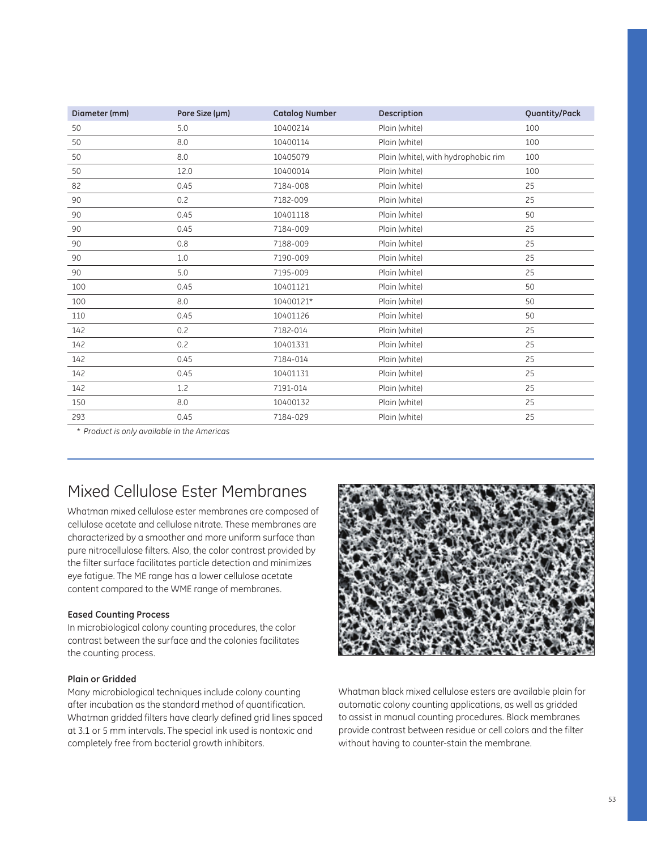| Diameter (mm) | Pore Size (µm) | <b>Catalog Number</b> | Description                         | Quantity/Pack |
|---------------|----------------|-----------------------|-------------------------------------|---------------|
| 50            | 5.0            | 10400214              | Plain (white)                       | 100           |
| 50            | 8.0            | 10400114              | Plain (white)                       | 100           |
| 50            | 8.0            | 10405079              | Plain (white), with hydrophobic rim | 100           |
| 50            | 12.0           | 10400014              | Plain (white)                       | 100           |
| 82            | 0.45           | 7184-008              | Plain (white)                       | 25            |
| 90            | 0.2            | 7182-009              | Plain (white)                       | 25            |
| 90            | 0.45           | 10401118              | Plain (white)                       | 50            |
| 90            | 0.45           | 7184-009              | Plain (white)                       | 25            |
| 90            | 0.8            | 7188-009              | Plain (white)                       | 25            |
| 90            | 1.0            | 7190-009              | Plain (white)                       | 25            |
| 90            | 5.0            | 7195-009              | Plain (white)                       | 25            |
| 100           | 0.45           | 10401121              | Plain (white)                       | 50            |
| 100           | 8.0            | 10400121*             | Plain (white)                       | 50            |
| 110           | 0.45           | 10401126              | Plain (white)                       | 50            |
| 142           | 0.2            | 7182-014              | Plain (white)                       | 25            |
| 142           | 0.2            | 10401331              | Plain (white)                       | 25            |
| 142           | 0.45           | 7184-014              | Plain (white)                       | 25            |
| 142           | 0.45           | 10401131              | Plain (white)                       | 25            |
| 142           | 1.2            | 7191-014              | Plain (white)                       | 25            |
| 150           | 8.0            | 10400132              | Plain (white)                       | 25            |
| 293           | 0.45           | 7184-029              | Plain (white)                       | 25            |

\* *Product is only available in the Americas*

## Mixed Cellulose Ester Membranes

Whatman mixed cellulose ester membranes are composed of cellulose acetate and cellulose nitrate. These membranes are characterized by a smoother and more uniform surface than pure nitrocellulose filters. Also, the color contrast provided by the filter surface facilitates particle detection and minimizes eye fatigue. The ME range has a lower cellulose acetate content compared to the WME range of membranes.

#### **Eased Counting Process**

In microbiological colony counting procedures, the color contrast between the surface and the colonies facilitates the counting process.

#### **Plain or Gridded**

Many microbiological techniques include colony counting after incubation as the standard method of quantification. Whatman gridded filters have clearly defined grid lines spaced at 3.1 or 5 mm intervals. The special ink used is nontoxic and completely free from bacterial growth inhibitors.



Whatman black mixed cellulose esters are available plain for automatic colony counting applications, as well as gridded to assist in manual counting procedures. Black membranes provide contrast between residue or cell colors and the filter without having to counter-stain the membrane.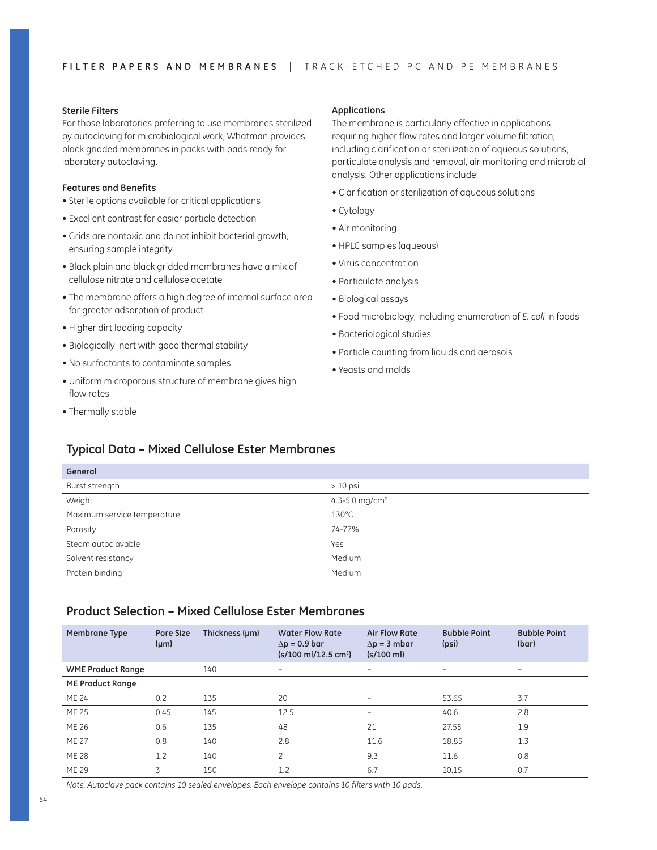#### **Sterile Filters**

For those laboratories preferring to use membranes sterilized by autoclaving for microbiological work, Whatman provides black gridded membranes in packs with pads ready for laboratory autoclaving.

#### **Features and Benefits**

- Sterile options available for critical applications
- Excellent contrast for easier particle detection
- Grids are nontoxic and do not inhibit bacterial growth, ensuring sample integrity
- Black plain and black gridded membranes have a mix of cellulose nitrate and cellulose acetate
- The membrane offers a high degree of internal surface area for greater adsorption of product
- Higher dirt loading capacity
- Biologically inert with good thermal stability
- $\bullet$  No surfactants to contaminate samples
- Uniform microporous structure of membrane gives high flow rates
- Thermally stable

**General**

#### **Applications**

The membrane is particularly effective in applications requiring higher flow rates and larger volume filtration, including clarification or sterilization of aqueous solutions, particulate analysis and removal, air monitoring and microbial analysis. Other applications include:

- Clarification or sterilization of aqueous solutions
- Cytology
- Air monitoring
- HPLC samples (aqueous)
- Virus concentration
- Particulate analysis
- Biological assays
- ~5^^S\XRa^QX^[^VhX]R[dSX]VT]d\TaPcX^]^U*E. coli* in foods
- Bacteriological studies
- Particle counting from liquids and aerosols
- Yeasts and molds

### **Typical Data – Mixed Cellulose Ester Membranes**

| uenerun                     |                            |
|-----------------------------|----------------------------|
| Burst strength              | $>10$ psi                  |
| Weight                      | 4.3-5.0 mg/cm <sup>2</sup> |
| Maximum service temperature | $130^{\circ}$ C            |
| Porosity                    | 74-77%                     |
| Steam autoclavable          | Yes                        |
| Solvent resistancy          | Medium                     |
| Protein binding             | Medium                     |

### **Product Selection – Mixed Cellulose Ester Membranes**

| Membrane Type            | <b>Pore Size</b><br>$(\mu m)$ | Thickness (µm) | <b>Water Flow Rate</b><br>$\Delta p = 0.9$ bar<br>$(s/100 \text{ ml}/12.5 \text{ cm}^2)$ | <b>Air Flow Rate</b><br>$\Delta p = 3$ mbar<br>$(s/100 \text{ ml})$ | <b>Bubble Point</b><br>(psi) | <b>Bubble Point</b><br>(bar) |
|--------------------------|-------------------------------|----------------|------------------------------------------------------------------------------------------|---------------------------------------------------------------------|------------------------------|------------------------------|
| <b>WME Product Range</b> |                               | 140            | -                                                                                        | $\overline{\phantom{0}}$                                            | $\overline{\phantom{0}}$     | $\qquad \qquad \blacksquare$ |
| <b>ME Product Range</b>  |                               |                |                                                                                          |                                                                     |                              |                              |
| ME 24                    | 0.2                           | 135            | 20                                                                                       | $\qquad \qquad -$                                                   | 53.65                        | 3.7                          |
| <b>ME 25</b>             | 0.45                          | 145            | 12.5                                                                                     | $\overline{\phantom{0}}$                                            | 40.6                         | 2.8                          |
| ME 26                    | 0.6                           | 135            | 48                                                                                       | 21                                                                  | 27.55                        | 1.9                          |
| <b>ME 27</b>             | 0.8                           | 140            | 2.8                                                                                      | 11.6                                                                | 18.85                        | 1.3                          |
| <b>ME 28</b>             | 1.2                           | 140            | $\mathcal{P}$                                                                            | 9.3                                                                 | 11.6                         | 0.8                          |
| ME 29                    | 3                             | 150            | 1.2                                                                                      | 6.7                                                                 | 10.15                        | 0.7                          |

*Note: Autoclave pack contains 10 sealed envelopes. Each envelope contains 10 filters with 10 pads.*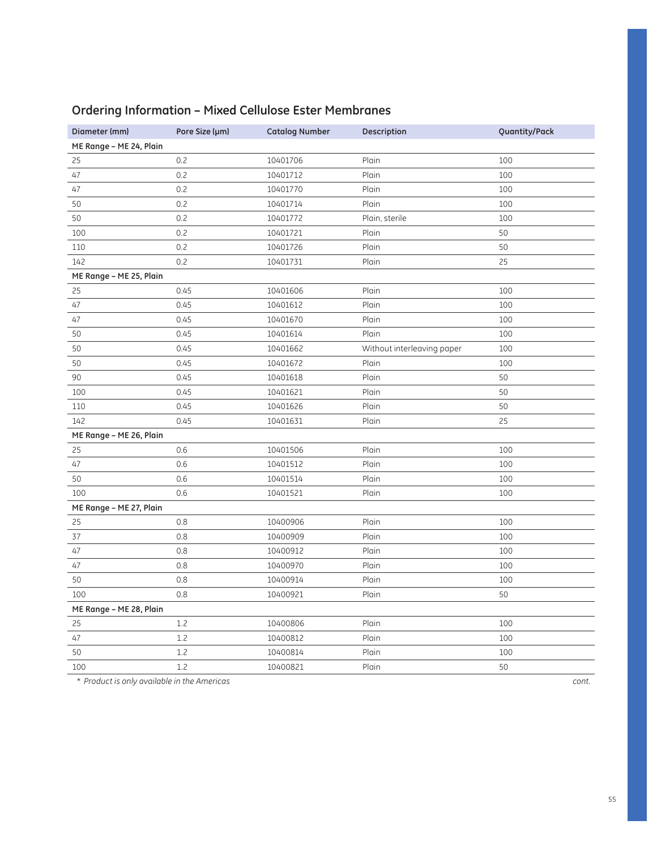| Diameter (mm)           | Pore Size (µm) | <b>Catalog Number</b> | Description                | Quantity/Pack |
|-------------------------|----------------|-----------------------|----------------------------|---------------|
| ME Range - ME 24, Plain |                |                       |                            |               |
| 25                      | 0.2            | 10401706              | Plain                      | 100           |
| 47                      | 0.2            | 10401712              | Plain                      | 100           |
| 47                      | 0.2            | 10401770              | Plain                      | 100           |
| 50                      | 0.2            | 10401714              | Plain                      | 100           |
| 50                      | 0.2            | 10401772              | Plain, sterile             | 100           |
| 100                     | 0.2            | 10401721              | Plain                      | 50            |
| 110                     | 0.2            | 10401726              | Plain                      | 50            |
| 142                     | 0.2            | 10401731              | Plain                      | 25            |
| ME Range - ME 25, Plain |                |                       |                            |               |
| 25                      | 0.45           | 10401606              | Plain                      | 100           |
| 47                      | 0.45           | 10401612              | Plain                      | 100           |
| 47                      | 0.45           | 10401670              | Plain                      | 100           |
| 50                      | 0.45           | 10401614              | Plain                      | 100           |
| 50                      | 0.45           | 10401662              | Without interleaving paper | 100           |
| 50                      | 0.45           | 10401672              | Plain                      | 100           |
| 90                      | 0.45           | 10401618              | Plain                      | 50            |
| 100                     | 0.45           | 10401621              | Plain                      | 50            |
| 110                     | 0.45           | 10401626              | Plain                      | 50            |
| 142                     | 0.45           | 10401631              | Plain                      | 25            |
| ME Range - ME 26, Plain |                |                       |                            |               |
| 25                      | 0.6            | 10401506              | Plain                      | 100           |
| 47                      | 0.6            | 10401512              | Plain                      | 100           |
| 50                      | 0.6            | 10401514              | Plain                      | 100           |
| 100                     | 0.6            | 10401521              | Plain                      | 100           |
| ME Range - ME 27, Plain |                |                       |                            |               |
| 25                      | 0.8            | 10400906              | Plain                      | 100           |
| 37                      | 0.8            | 10400909              | Plain                      | 100           |
| 47                      | 0.8            | 10400912              | Plain                      | 100           |
| 47                      | 0.8            | 10400970              | Plain                      | 100           |
| 50                      | 0.8            | 10400914              | Plain                      | 100           |
| 100                     | 0.8            | 10400921              | Plain                      | 50            |
| ME Range - ME 28, Plain |                |                       |                            |               |
| 25                      | 1.2            | 10400806              | Plain                      | 100           |
| 47                      | 1.2            | 10400812              | Plain                      | 100           |
| 50                      | 1.2            | 10400814              | Plain                      | 100           |
| 100                     | 1.2            | 10400821              | Plain                      | 50            |

## **Ordering Information – Mixed Cellulose Ester Membranes**

\* *Product is only available in the Americas cont.*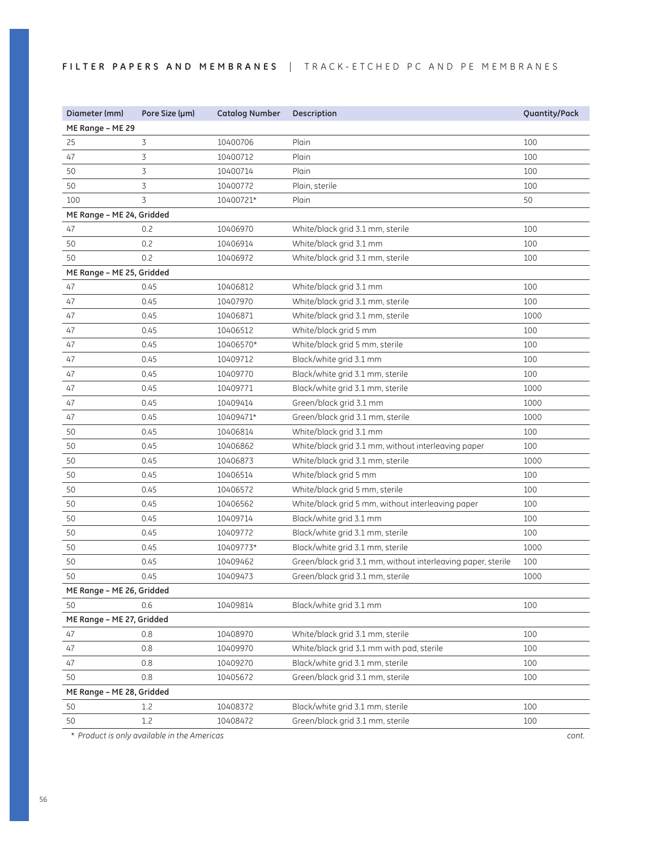### FILTER PAPERS AND MEMBRANES | TRACK-ETCHED PC AND PE MEMBRANES

| Diameter (mm)             | Pore Size (µm)                              | <b>Catalog Number</b> | Description                                                  | Quantity/Pack |
|---------------------------|---------------------------------------------|-----------------------|--------------------------------------------------------------|---------------|
| ME Range - ME 29          |                                             |                       |                                                              |               |
| 25                        | 3                                           | 10400706              | Plain                                                        | 100           |
| 47                        | 3                                           | 10400712              | Plain                                                        | 100           |
| 50                        | 3                                           | 10400714              | Plain                                                        | 100           |
| 50                        | 3                                           | 10400772              | Plain, sterile                                               | 100           |
| 100                       | 3                                           | 10400721*             | Plain                                                        | 50            |
| ME Range - ME 24, Gridded |                                             |                       |                                                              |               |
| 47                        | 0.2                                         | 10406970              | White/black grid 3.1 mm, sterile                             | 100           |
| 50                        | 0.2                                         | 10406914              | White/black grid 3.1 mm                                      | 100           |
| 50                        | 0.2                                         | 10406972              | White/black grid 3.1 mm, sterile                             | 100           |
| ME Range - ME 25, Gridded |                                             |                       |                                                              |               |
| 47                        | 0.45                                        | 10406812              | White/black grid 3.1 mm                                      | 100           |
| 47                        | 0.45                                        | 10407970              | White/black grid 3.1 mm, sterile                             | 100           |
| 47                        | 0.45                                        | 10406871              | White/black grid 3.1 mm, sterile                             | 1000          |
| 47                        | 0.45                                        | 10406512              | White/black grid 5 mm                                        | 100           |
| 47                        | 0.45                                        | 10406570*             | White/black grid 5 mm, sterile                               | 100           |
| 47                        | 0.45                                        | 10409712              | Black/white grid 3.1 mm                                      | 100           |
| 47                        | 0.45                                        | 10409770              | Black/white grid 3.1 mm, sterile                             | 100           |
| 47                        | 0.45                                        | 10409771              | Black/white grid 3.1 mm, sterile                             | 1000          |
| 47                        | 0.45                                        | 10409414              | Green/black grid 3.1 mm                                      | 1000          |
| 47                        | 0.45                                        | 10409471*             | Green/black grid 3.1 mm, sterile                             | 1000          |
| 50                        | 0.45                                        | 10406814              | White/black grid 3.1 mm                                      | 100           |
| 50                        | 0.45                                        | 10406862              | White/black grid 3.1 mm, without interleaving paper          | 100           |
| 50                        | 0.45                                        | 10406873              | White/black grid 3.1 mm, sterile                             | 1000          |
| 50                        | 0.45                                        | 10406514              | White/black grid 5 mm                                        | 100           |
| 50                        | 0.45                                        | 10406572              | White/black grid 5 mm, sterile                               | 100           |
| 50                        | 0.45                                        | 10406562              | White/black grid 5 mm, without interleaving paper            | 100           |
| 50                        | 0.45                                        | 10409714              | Black/white grid 3.1 mm                                      | 100           |
| 50                        | 0.45                                        | 10409772              | Black/white grid 3.1 mm, sterile                             | 100           |
| 50                        | 0.45                                        | 10409773*             | Black/white grid 3.1 mm, sterile                             | 1000          |
| 50                        | 0.45                                        | 10409462              | Green/black grid 3.1 mm, without interleaving paper, sterile | 100           |
| 50                        | 0.45                                        | 10409473              | Green/black grid 3.1 mm, sterile                             | 1000          |
| ME Range - ME 26, Gridded |                                             |                       |                                                              |               |
| 50                        | 0.6                                         | 10409814              | Black/white grid 3.1 mm                                      | 100           |
| ME Range - ME 27, Gridded |                                             |                       |                                                              |               |
| 47                        | 0.8                                         | 10408970              | White/black grid 3.1 mm, sterile                             | 100           |
| 47                        | 0.8                                         | 10409970              | White/black grid 3.1 mm with pad, sterile                    | 100           |
| 47                        | 0.8                                         | 10409270              | Black/white grid 3.1 mm, sterile                             | 100           |
| 50                        | 0.8                                         | 10405672              | Green/black grid 3.1 mm, sterile                             | 100           |
| ME Range - ME 28, Gridded |                                             |                       |                                                              |               |
| 50                        | 1.2                                         | 10408372              | Black/white grid 3.1 mm, sterile                             | 100           |
| 50                        | 1.2                                         | 10408472              | Green/black grid 3.1 mm, sterile                             | 100           |
|                           | * Product is only available in the Americas |                       |                                                              | cont.         |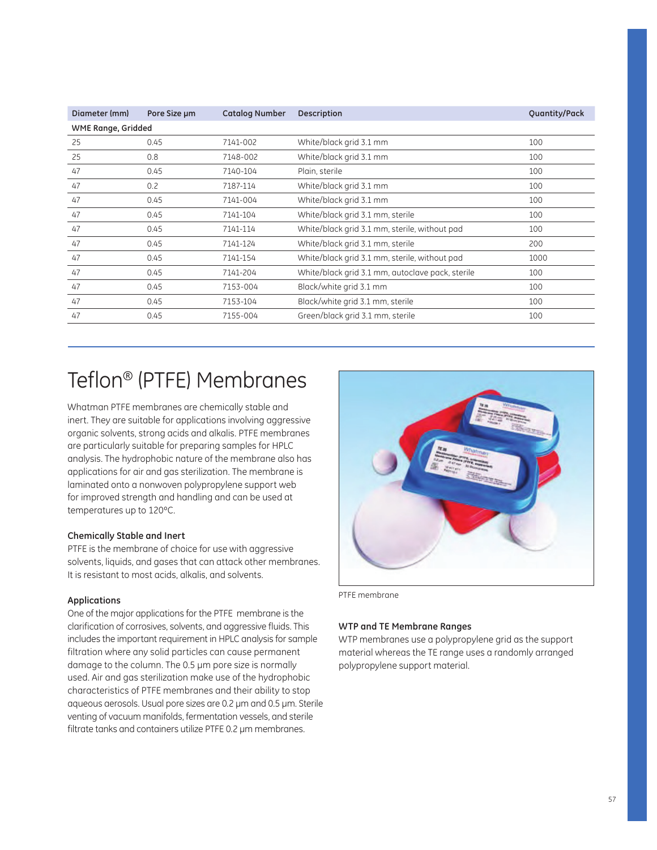| Diameter (mm)             | Pore Size um | <b>Catalog Number</b> | <b>Description</b>                               | Quantity/Pack |
|---------------------------|--------------|-----------------------|--------------------------------------------------|---------------|
| <b>WME Range, Gridded</b> |              |                       |                                                  |               |
| 25                        | 0.45         | 7141-002              | White/black grid 3.1 mm                          | 100           |
| 25                        | 0.8          | 7148-002              | White/black grid 3.1 mm                          | 100           |
| 47                        | 0.45         | 7140-104              | Plain, sterile                                   | 100           |
| 47                        | 0.2          | 7187-114              | White/black grid 3.1 mm                          | 100           |
| 47                        | 0.45         | 7141-004              | White/black grid 3.1 mm                          | 100           |
| 47                        | 0.45         | 7141-104              | White/black grid 3.1 mm, sterile                 | 100           |
| 47                        | 0.45         | 7141-114              | White/black grid 3.1 mm, sterile, without pad    | 100           |
| 47                        | 0.45         | 7141-124              | White/black grid 3.1 mm, sterile                 | 200           |
| 47                        | 0.45         | 7141-154              | White/black grid 3.1 mm, sterile, without pad    | 1000          |
| 47                        | 0.45         | 7141-204              | White/black grid 3.1 mm, autoclave pack, sterile | 100           |
| 47                        | 0.45         | 7153-004              | Black/white grid 3.1 mm                          | 100           |
| 47                        | 0.45         | 7153-104              | Black/white grid 3.1 mm, sterile                 | 100           |
| 47                        | 0.45         | 7155-004              | Green/black grid 3.1 mm, sterile                 | 100           |

## Teflon® (PTFE) Membranes

Whatman PTFE membranes are chemically stable and inert. They are suitable for applications involving aggressive organic solvents, strong acids and alkalis. PTFE membranes are particularly suitable for preparing samples for HPLC analysis. The hydrophobic nature of the membrane also has applications for air and gas sterilization. The membrane is laminated onto a nonwoven polypropylene support web for improved strength and handling and can be used at temperatures up to 120ºC.

#### **Chemically Stable and Inert**

PTFE is the membrane of choice for use with aggressive solvents, liquids, and gases that can attack other membranes. It is resistant to most acids, alkalis, and solvents.

#### **Applications**

One of the major applications for the PTFE membrane is the clarification of corrosives, solvents, and aggressive fluids. This includes the important requirement in HPLC analysis for sample filtration where any solid particles can cause permanent damage to the column. The 0.5 µm pore size is normally used. Air and gas sterilization make use of the hydrophobic characteristics of PTFE membranes and their ability to stop aqueous aerosols. Usual pore sizes are 0.2 µm and 0.5 µm. Sterile venting of vacuum manifolds, fermentation vessels, and sterile filtrate tanks and containers utilize PTFE 0.2 µm membranes.



PTFE membrane

### **WTP and TE Membrane Ranges**

WTP membranes use a polypropylene grid as the support material whereas the TE range uses a randomly arranged polypropylene support material.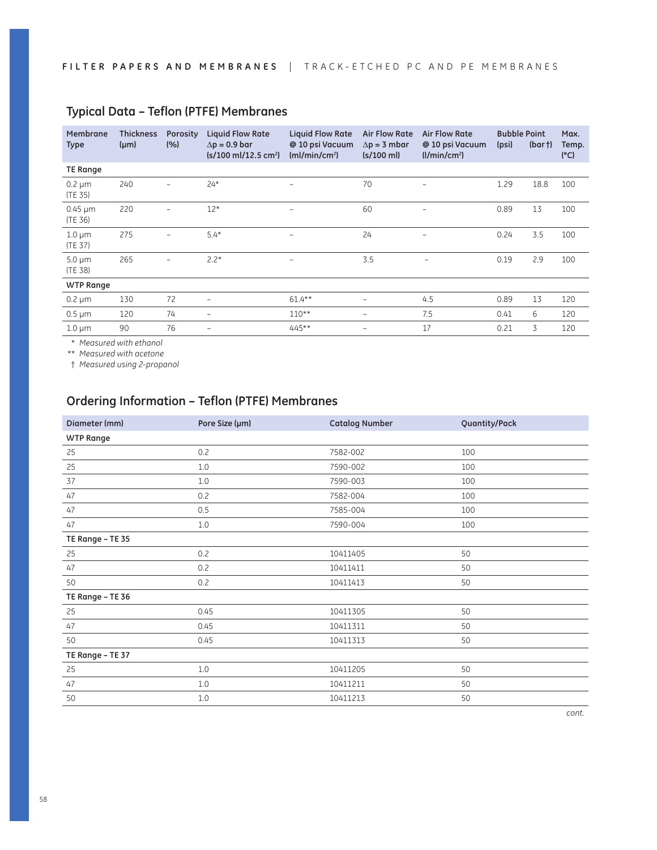| Membrane<br><b>Type</b> | <b>Thickness</b><br>$(\mu m)$ | Porosity<br>(%)          | <b>Liquid Flow Rate</b><br>$\Delta p = 0.9$ bar<br>$(s/100 \text{ ml}/12.5 \text{ cm}^2)$ | <b>Liquid Flow Rate</b><br>@ 10 psi Vacuum<br>(mI/min/cm <sup>2</sup> ) | <b>Air Flow Rate</b><br>$\Delta p = 3$ mbar<br>$(s/100 \text{ ml})$ | <b>Air Flow Rate</b><br>@ 10 psi Vacuum<br>(1/min/cm <sup>2</sup> ) | <b>Bubble Point</b><br>(psi) | (bar) | Max.<br>Temp.<br>(C) |
|-------------------------|-------------------------------|--------------------------|-------------------------------------------------------------------------------------------|-------------------------------------------------------------------------|---------------------------------------------------------------------|---------------------------------------------------------------------|------------------------------|-------|----------------------|
| <b>TE Range</b>         |                               |                          |                                                                                           |                                                                         |                                                                     |                                                                     |                              |       |                      |
| $0.2 \mu m$<br>(TE 35)  | 240                           |                          | $24*$                                                                                     |                                                                         | 70                                                                  |                                                                     | 1.29                         | 18.8  | 100                  |
| $0.45 \mu m$<br>(TE 36) | 220                           | $\overline{\phantom{0}}$ | $12*$                                                                                     | $\overline{\phantom{0}}$                                                | 60                                                                  | $\overline{\phantom{0}}$                                            | 0.89                         | 13    | 100                  |
| $1.0 \mu m$<br>(TE 37)  | 275                           |                          | $5.4*$                                                                                    |                                                                         | 24                                                                  |                                                                     | 0.24                         | 3.5   | 100                  |
| $5.0 \mu m$<br>(TE 38)  | 265                           | $\overline{\phantom{0}}$ | $2.2*$                                                                                    | $\qquad \qquad -$                                                       | 3.5                                                                 | $\overline{\phantom{0}}$                                            | 0.19                         | 2.9   | 100                  |
| <b>WTP Range</b>        |                               |                          |                                                                                           |                                                                         |                                                                     |                                                                     |                              |       |                      |
| $0.2 \mu m$             | 130                           | 72                       | -                                                                                         | $61.4***$                                                               | $\qquad \qquad -$                                                   | 4.5                                                                 | 0.89                         | 13    | 120                  |
| $0.5 \mu m$             | 120                           | 74                       | $\overline{\phantom{0}}$                                                                  | $110**$                                                                 |                                                                     | 7.5                                                                 | 0.41                         | 6     | 120                  |
| $1.0 \mu m$             | 90                            | 76                       | $\overline{\phantom{0}}$                                                                  | 445**                                                                   |                                                                     | 17                                                                  | 0.21                         | 3     | 120                  |

### **Typical Data – Teflon (PTFE) Membranes**

\* *Measured with ethanol*

\*\* *Measured with acetone*

† *Measured using 2-propanol* 

### **Ordering Information – Teflon (PTFE) Membranes**

| Diameter (mm)    | Pore Size (µm) | <b>Catalog Number</b> | Quantity/Pack |
|------------------|----------------|-----------------------|---------------|
| <b>WTP Range</b> |                |                       |               |
| 25               | 0.2            | 7582-002              | 100           |
| 25               | 1.0            | 7590-002              | 100           |
| 37               | 1.0            | 7590-003              | 100           |
| 47               | 0.2            | 7582-004              | 100           |
| 47               | 0.5            | 7585-004              | 100           |
| 47               | $1.0\,$        | 7590-004              | 100           |
| TE Range - TE 35 |                |                       |               |
| 25               | 0.2            | 10411405              | 50            |
| 47               | 0.2            | 10411411              | 50            |
| 50               | 0.2            | 10411413              | 50            |
| TE Range - TE 36 |                |                       |               |
| 25               | 0.45           | 10411305              | 50            |
| 47               | 0.45           | 10411311              | 50            |
| 50               | 0.45           | 10411313              | 50            |
| TE Range - TE 37 |                |                       |               |
| 25               | 1.0            | 10411205              | 50            |
| 47               | 1.0            | 10411211              | 50            |
| 50               | $1.0\,$        | 10411213              | 50            |
|                  |                |                       |               |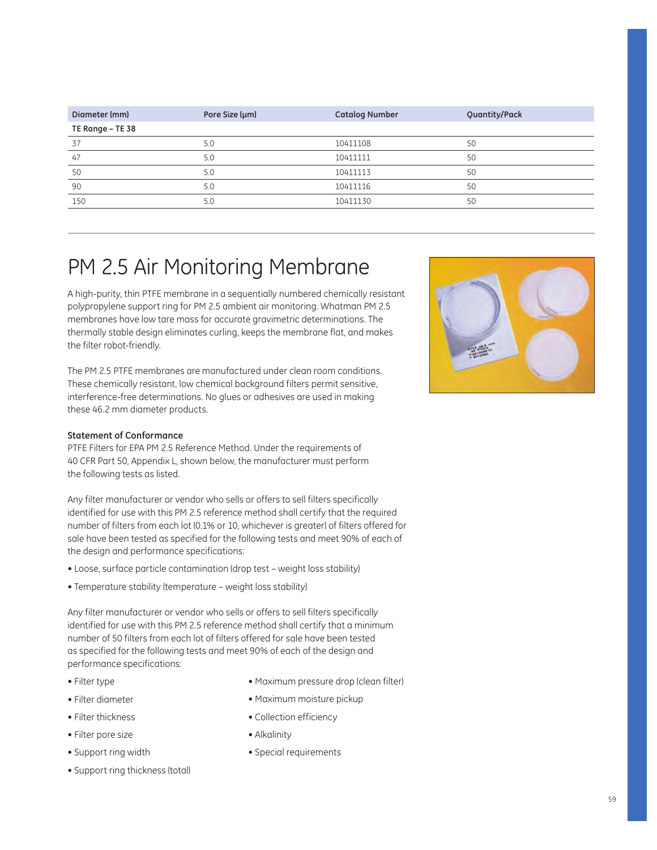| Diameter (mm)    | Pore Size (µm) | <b>Catalog Number</b> | Quantity/Pack |
|------------------|----------------|-----------------------|---------------|
| TE Range - TE 38 |                |                       |               |
| 37               | 5.0            | 10411108              | 50            |
| 47               | 5.0            | 10411111              | 50            |
| 50               | 5.0            | 10411113              | 50            |
| 90               | 5.0            | 10411116              | 50            |
| 150              | 5.0            | 10411130              | 50            |
|                  |                |                       |               |

## PM 2.5 Air Monitoring Membrane

A high-purity, thin PTFE membrane in a sequentially numbered chemically resistant polypropylene support ring for PM 2.5 ambient air monitoring. Whatman PM 2.5 membranes have low tare mass for accurate gravimetric determinations. The thermally stable design eliminates curling, keeps the membrane flat, and makes the filter robot-friendly.

The PM 2.5 PTFE membranes are manufactured under clean room conditions. These chemically resistant, low chemical background filters permit sensitive, interference-free determinations. No glues or adhesives are used in making these 46.2 mm diameter products.

### **Statement of Conformance**

PTFE Filters for EPA PM 2.5 Reference Method. Under the requirements of 40 CFR Part 50, Appendix L, shown below, the manufacturer must perform the following tests as listed.

Any filter manufacturer or vendor who sells or offers to sell filters specifically identified for use with this PM 2.5 reference method shall certify that the required number of filters from each lot (0.1% or 10, whichever is greater) of filters offered for sale have been tested as specified for the following tests and meet 90% of each of the design and performance specifications:

- Loose, surface particle contamination (drop test weight loss stability)
- Temperature stability (temperature weight loss stability)

Any filter manufacturer or vendor who sells or offers to sell filters specifically identified for use with this PM 2.5 reference method shall certify that a minimum number of 50 filters from each lot of filters offered for sale have been tested as specified for the following tests and meet 90% of each of the design and performance specifications:

- Filter type
- Filter diameter
- Filter thickness
- Filter pore size
- Support ring width
- Support ring thickness (total)
- Maximum pressure drop (clean filter)
- $\bullet$  Maximum moisture pickup
- Collection efficiency
- $\bullet$  Alkalinity
- Special requirements

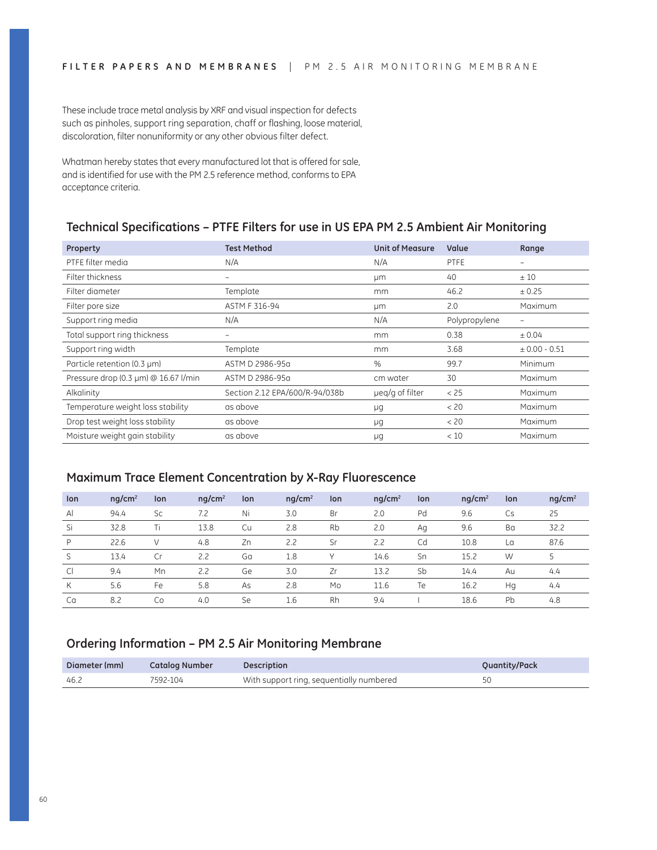These include trace metal analysis by XRF and visual inspection for defects such as pinholes, support ring separation, chaff or flashing, loose material, discoloration, filter nonuniformity or any other obvious filter defect.

Whatman hereby states that every manufactured lot that is offered for sale, and is identified for use with the PM 2.5 reference method, conforms to EPA acceptance criteria.

### **Technical Specifications – PTFE Filters for use in US EPA PM 2.5 Ambient Air Monitoring**

| Property                             | <b>Test Method</b>             | <b>Unit of Measure</b> | Value         | Range                    |
|--------------------------------------|--------------------------------|------------------------|---------------|--------------------------|
| PTFE filter media                    | N/A                            | N/A                    | <b>PTFE</b>   |                          |
| Filter thickness                     |                                | μm                     | 40            | ±10                      |
| Filter diameter                      | Template                       | mm                     | 46.2          | ± 0.25                   |
| Filter pore size                     | ASTM F 316-94                  | μm                     | 2.0           | <b>Maximum</b>           |
| Support ring media                   | N/A                            | N/A                    | Polypropylene | $\overline{\phantom{m}}$ |
| Total support ring thickness         |                                | mm                     | 0.38          | ± 0.04                   |
| Support ring width                   | Template                       | mm                     | 3.68          | $± 0.00 - 0.51$          |
| Particle retention (0.3 µm)          | ASTM D 2986-95a                | $\%$                   | 99.7          | Minimum                  |
| Pressure drop (0.3 µm) @ 16.67 l/min | ASTM D 2986-95a                | cm water               | 30            | <b>Maximum</b>           |
| Alkalinity                           | Section 2.12 EPA/600/R-94/038b | ueg/g of filter        | < 25          | Maximum                  |
| Temperature weight loss stability    | as above                       | μg                     | < 20          | <b>Maximum</b>           |
| Drop test weight loss stability      | as above                       | μg                     | < 20          | <b>Maximum</b>           |
| Moisture weight gain stability       | as above                       | μg                     | < 10          | Maximum                  |

### **Maximum Trace Element Concentration by X-Ray Fluorescence**

| lon          | nq/cm <sup>2</sup> | lon       | nq/cm <sup>2</sup> | lon | $nq/cm^2$ | lon       | $nq/cm^2$ | lon | nq/cm <sup>2</sup> | lon | nq/cm <sup>2</sup> |
|--------------|--------------------|-----------|--------------------|-----|-----------|-----------|-----------|-----|--------------------|-----|--------------------|
| $\mathsf{A}$ | 94.4               | <b>Sc</b> | 7.2                | Ni  | 3.0       | Br        | 2.0       | Pd  | 9.6                | Cs  | 25                 |
| Si           | 32.8               | Τi        | 13.8               | Cu  | 2.8       | <b>Rb</b> | 2.0       | Aq  | 9.6                | Ba  | 32.2               |
| P            | 22.6               | V         | 4.8                | Zn  | 2.2       | Sr        | 2.2       | Cd  | 10.8               | La  | 87.6               |
| S            | 13.4               | Cr        | 2.2                | Ga  | 1.8       |           | 14.6      | Sn  | 15.2               | W   | 5                  |
| <sub>C</sub> | 9.4                | Mn        | 2.2                | Ge  | 3.0       | Zr        | 13.2      | Sb  | 14.4               | Au  | 4.4                |
| K            | 5.6                | Fe        | 5.8                | As  | 2.8       | Mo        | 11.6      | Te  | 16.2               | Hg  | 4.4                |
| Ca           | 8.2                | Co        | 4.0                | Se  | 1.6       | Rh        | 9.4       |     | 18.6               | Pb  | 4.8                |

### **Ordering Information – PM 2.5 Air Monitoring Membrane**

| Diameter (mm) | <b>Catalog Number</b> | <b>Description</b>                       | Quantity/Pack |
|---------------|-----------------------|------------------------------------------|---------------|
| 46.2          | 7592-104              | With support ring, sequentially numbered |               |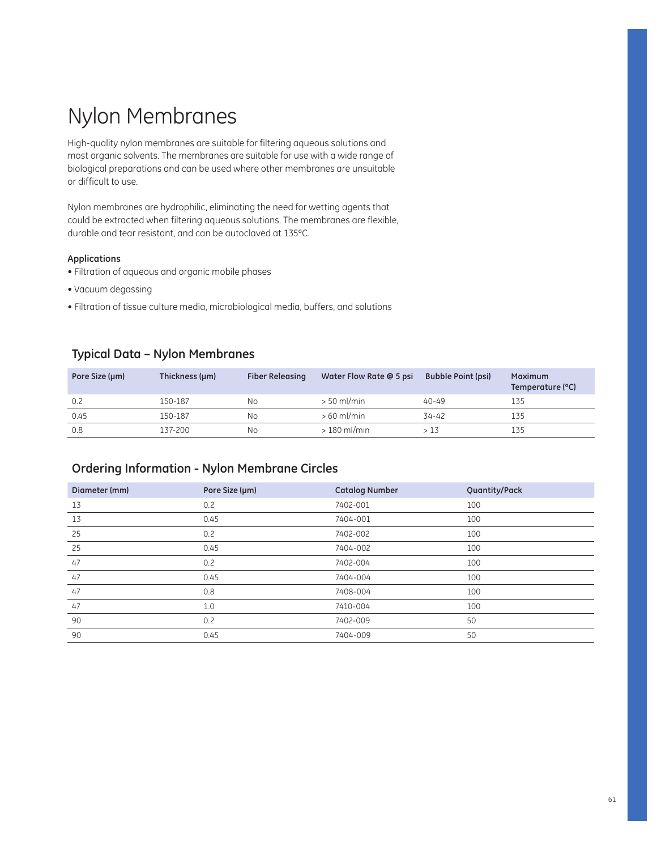## Nylon Membranes

High-quality nylon membranes are suitable for filtering aqueous solutions and most organic solvents. The membranes are suitable for use with a wide range of biological preparations and can be used where other membranes are unsuitable or difficult to use.

Nylon membranes are hydrophilic, eliminating the need for wetting agents that could be extracted when filtering aqueous solutions. The membranes are flexible, durable and tear resistant, and can be autoclaved at 135ºC.

### **Applications**

- Filtration of aqueous and organic mobile phases
- Vacuum degassing
- Filtration of tissue culture media, microbiological media, buffers, and solutions

### **Typical Data – Nylon Membranes**

| Pore Size (µm) | Thickness (µm) | <b>Fiber Releasing</b> | Water Flow Rate @ 5 psi | <b>Bubble Point (psi)</b> | Maximum<br>Temperature (°C) |
|----------------|----------------|------------------------|-------------------------|---------------------------|-----------------------------|
| 0.2            | 150-187        | Νo                     | $> 50$ ml/min           | $40 - 49$                 | 135                         |
| 0.45           | 150-187        | Νo                     | $>60$ ml/min            | 34-42                     | 135                         |
| 0.8            | 137-200        | Νo                     | $>180$ ml/min           | > 13                      | 135                         |

### **Ordering Information - Nylon Membrane Circles**

| Diameter (mm) | Pore Size (µm) | <b>Catalog Number</b> | Quantity/Pack |
|---------------|----------------|-----------------------|---------------|
| 13            | 0.2            | 7402-001              | 100           |
| 13            | 0.45           | 7404-001              | 100           |
| 25            | 0.2            | 7402-002              | 100           |
| 25            | 0.45           | 7404-002              | 100           |
| 47            | 0.2            | 7402-004              | 100           |
| 47            | 0.45           | 7404-004              | 100           |
| 47            | 0.8            | 7408-004              | 100           |
| 47            | 1.0            | 7410-004              | 100           |
| 90            | 0.2            | 7402-009              | 50            |
| 90            | 0.45           | 7404-009              | 50            |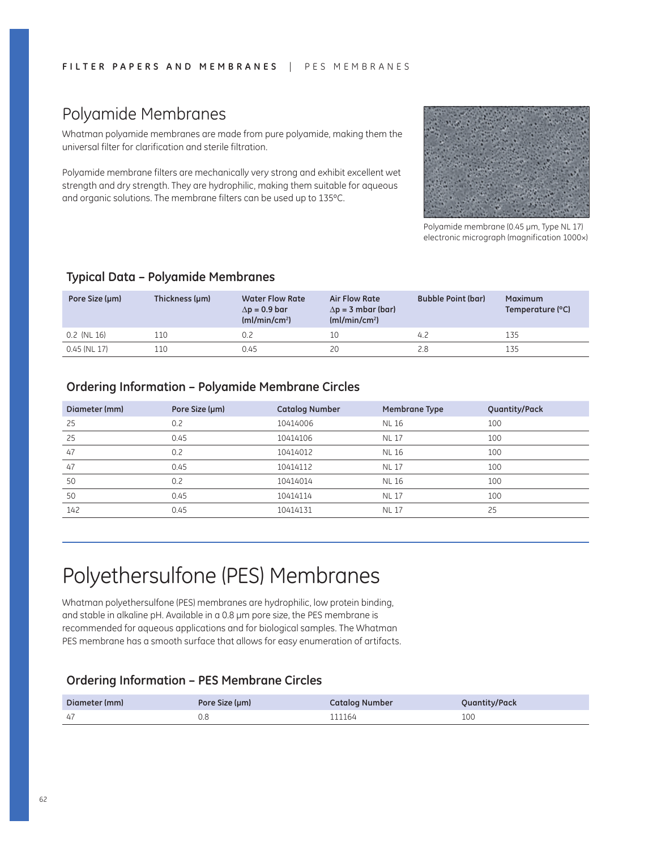## Polyamide Membranes

Whatman polyamide membranes are made from pure polyamide, making them the universal filter for clarification and sterile filtration.

Polyamide membrane filters are mechanically very strong and exhibit excellent wet strength and dry strength. They are hydrophilic, making them suitable for aqueous and organic solutions. The membrane filters can be used up to 135ºC.



Polyamide membrane (0.45 µm, Type NL 17) electronic micrograph (magnification 1000×)

### **Typical Data – Polyamide Membranes**

| Pore Size (µm)   | Thickness (µm) | <b>Water Flow Rate</b><br>$\Delta p = 0.9$ bar<br>(mI/min/cm <sup>2</sup> ) | Air Flow Rate<br>$\Delta p = 3$ mbar (bar)<br>(mI/min/cm <sup>2</sup> ) | <b>Bubble Point (bar)</b> | <b>Maximum</b><br>Temperature (°C) |
|------------------|----------------|-----------------------------------------------------------------------------|-------------------------------------------------------------------------|---------------------------|------------------------------------|
| $0.2$ (NL $16$ ) | 110            |                                                                             | 10                                                                      | 4.2                       | 135                                |
| 0.45 (NL 17)     | 110            | 0.45                                                                        | 20                                                                      |                           | 135                                |

### **Ordering Information – Polyamide Membrane Circles**

| Diameter (mm) | Pore Size (µm) | <b>Catalog Number</b> | Membrane Type | Quantity/Pack |
|---------------|----------------|-----------------------|---------------|---------------|
| 25            | 0.2            | 10414006              | <b>NL 16</b>  | 100           |
| 25            | 0.45           | 10414106              | <b>NL17</b>   | 100           |
| 47            | 0.2            | 10414012              | <b>NL 16</b>  | 100           |
| 47            | 0.45           | 10414112              | <b>NL17</b>   | 100           |
| 50            | 0.2            | 10414014              | <b>NL 16</b>  | 100           |
| 50            | 0.45           | 10414114              | <b>NL17</b>   | 100           |
| 142           | 0.45           | 10414131              | <b>NL17</b>   | 25            |

## Polyethersulfone (PES) Membranes

Whatman polyethersulfone (PES) membranes are hydrophilic, low protein binding, and stable in alkaline pH. Available in a 0.8 µm pore size, the PES membrane is recommended for aqueous applications and for biological samples. The Whatman PES membrane has a smooth surface that allows for easy enumeration of artifacts.

### **Ordering Information – PES Membrane Circles**

| Diameter (mm) | Pore Size (µm) | <b>Catalog Number</b> | Quantity/Pack |
|---------------|----------------|-----------------------|---------------|
| 47            |                | 111164                | 100           |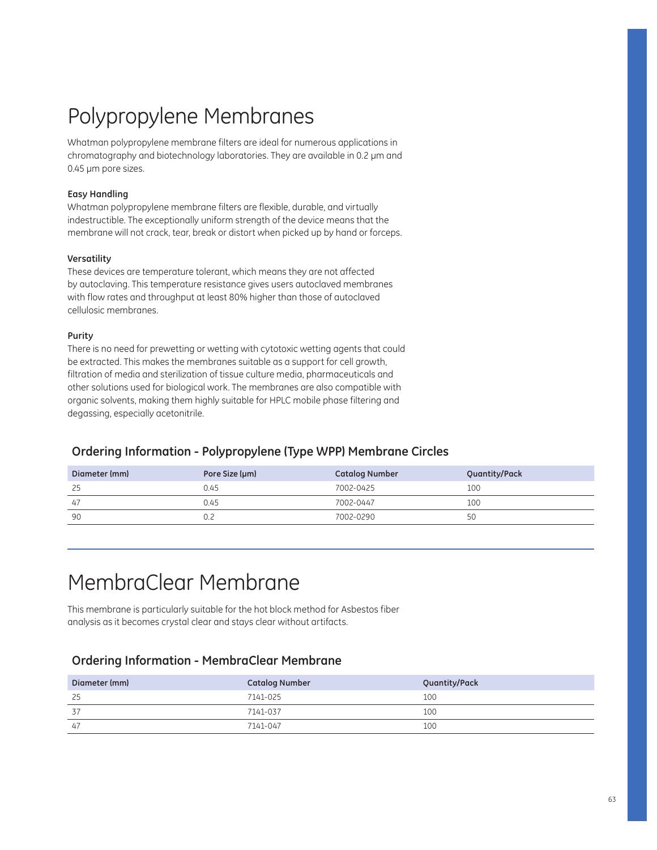# Polypropylene Membranes

Whatman polypropylene membrane filters are ideal for numerous applications in chromatography and biotechnology laboratories. They are available in 0.2 µm and 0.45 µm pore sizes.

### **Easy Handling**

Whatman polypropylene membrane filters are flexible, durable, and virtually indestructible. The exceptionally uniform strength of the device means that the membrane will not crack, tear, break or distort when picked up by hand or forceps.

#### **Versatility**

These devices are temperature tolerant, which means they are not affected by autoclaving. This temperature resistance gives users autoclaved membranes with flow rates and throughput at least 80% higher than those of autoclaved cellulosic membranes.

### **Purity**

There is no need for prewetting or wetting with cytotoxic wetting agents that could be extracted. This makes the membranes suitable as a support for cell growth, filtration of media and sterilization of tissue culture media, pharmaceuticals and other solutions used for biological work. The membranes are also compatible with organic solvents, making them highly suitable for HPLC mobile phase filtering and degassing, especially acetonitrile.

### **Ordering Information - Polypropylene (Type WPP) Membrane Circles**

| Diameter (mm) | Pore Size (µm) | <b>Catalog Number</b> | Quantity/Pack |
|---------------|----------------|-----------------------|---------------|
| 25            | 0.45           | 7002-0425             | 100           |
| 47            | 0.45           | 7002-0447             | 100           |
| 90            | 0.2            | 7002-0290             | 50            |

## MembraClear Membrane

This membrane is particularly suitable for the hot block method for Asbestos fiber analysis as it becomes crystal clear and stays clear without artifacts.

### **Ordering Information - MembraClear Membrane**

| Diameter (mm) | <b>Catalog Number</b> | Quantity/Pack |
|---------------|-----------------------|---------------|
| 25            | 7141-025              | 100           |
| 37            | 7141-037              | 100           |
| 47            | 7141-047              | 100           |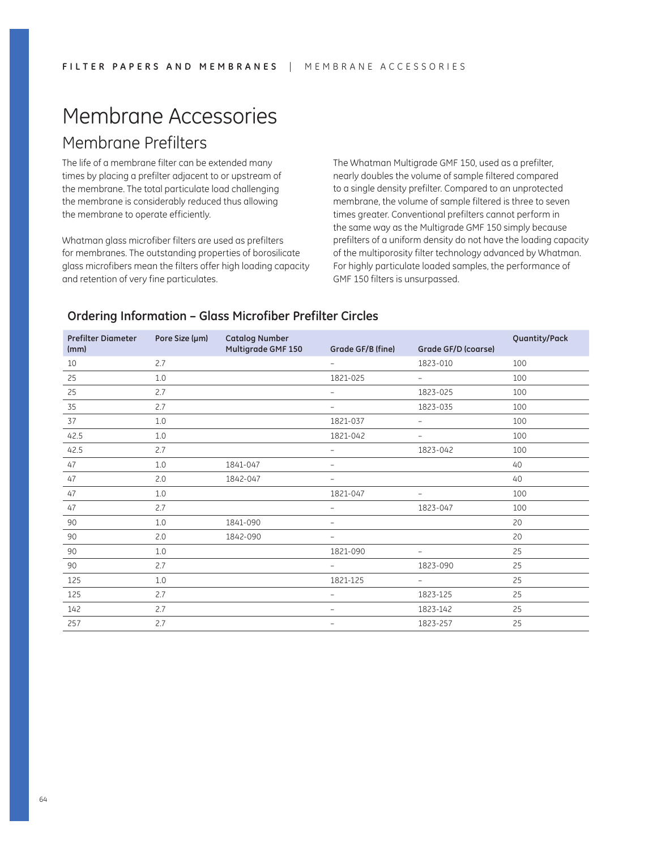# Membrane Accessories

## Membrane Prefilters

The life of a membrane filter can be extended many times by placing a prefilter adjacent to or upstream of the membrane. The total particulate load challenging the membrane is considerably reduced thus allowing the membrane to operate efficiently.

Whatman glass microfiber filters are used as prefilters for membranes. The outstanding properties of borosilicate glass microfibers mean the filters offer high loading capacity and retention of very fine particulates.

The Whatman Multigrade GMF 150, used as a prefilter, nearly doubles the volume of sample filtered compared to a single density prefilter. Compared to an unprotected membrane, the volume of sample filtered is three to seven times greater. Conventional prefilters cannot perform in the same way as the Multigrade GMF 150 simply because prefilters of a uniform density do not have the loading capacity of the multiporosity filter technology advanced by Whatman. For highly particulate loaded samples, the performance of GMF 150 filters is unsurpassed.

### **Prefilter Diameter (mm) Pore Size (µm) Catalog Number Multigrade GMF 150 Grade GF/B (fine) Grade GF/D (coarse) Quantity/Pack** 10 2.7 – 1823-010 100 25 1.0 1.0 1.0 1821-025 - 100 25 2.7 – 1823-025 100 35 2.7 – 1823-035 100 37 1.0 1.0 1.0 1821-037 - 100 42.5 1.0 1.0 1821-042 - 100 42.5 2.7 – 1823-042 100 47 1.0 1841-047 – 1840-1840 1840-1840 47 2.0 1842-047 – 2.0 1842-047 1842-1842 1842-047 – 2.0 1842-047 47 1.0 1.0 1.0 1821-047 - 100 47 2.7 – 1823-047 100 90 1.0 1841-090 – 20 90 2.0 1842-090 – 20 90 1.0 1821-090 – 25 90 2.7 – 1823-090 25 125 1.0 1821-125 – 25 125 2.7 – 1823-125 25 142 2.7 – 1823-142 25 257 2.7 – 1823-257 25

### **Ordering Information – Glass Microfiber Prefilter Circles**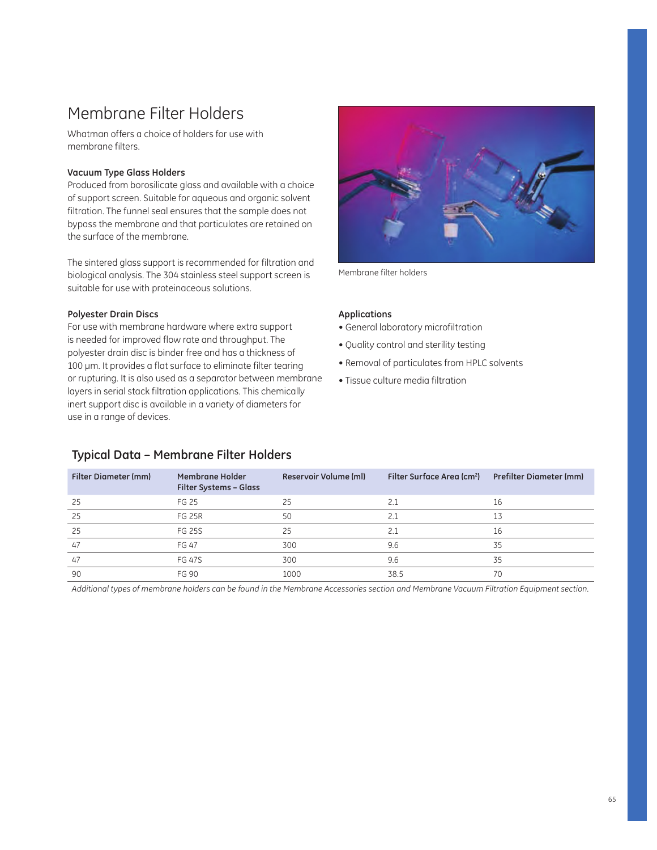## Membrane Filter Holders

Whatman offers a choice of holders for use with membrane filters.

### **Vacuum Type Glass Holders**

Produced from borosilicate glass and available with a choice of support screen. Suitable for aqueous and organic solvent filtration. The funnel seal ensures that the sample does not bypass the membrane and that particulates are retained on the surface of the membrane.

The sintered glass support is recommended for filtration and biological analysis. The 304 stainless steel support screen is suitable for use with proteinaceous solutions.

#### **Polyester Drain Discs**

For use with membrane hardware where extra support is needed for improved flow rate and throughput. The polyester drain disc is binder free and has a thickness of 100 µm. It provides a flat surface to eliminate filter tearing or rupturing. It is also used as a separator between membrane layers in serial stack filtration applications. This chemically inert support disc is available in a variety of diameters for use in a range of devices.



Membrane filter holders

#### **Applications**

- General laboratory microfiltration
- Quality control and sterility testing
- Removal of particulates from HPLC solvents
- Tissue culture media filtration

| <b>Filter Diameter (mm)</b> | Membrane Holder<br><b>Filter Systems - Glass</b> | Reservoir Volume (ml) | Filter Surface Area (cm <sup>2</sup> ) | <b>Prefilter Diameter (mm)</b> |
|-----------------------------|--------------------------------------------------|-----------------------|----------------------------------------|--------------------------------|
| 25                          | FG 25                                            | 25                    | 2.1                                    | 16                             |
| 25                          | <b>FG 25R</b>                                    | 50                    | 2.1                                    | 13                             |
| 25                          | <b>FG 25S</b>                                    | 25                    | 2.1                                    | 16                             |
| 47                          | <b>FG 47</b>                                     | 300                   | 9.6                                    | 35                             |
| 47                          | <b>FG 47S</b>                                    | 300                   | 9.6                                    | 35                             |
| 90                          | <b>FG 90</b>                                     | 1000                  | 38.5                                   | 70                             |

**Typical Data – Membrane Filter Holders**

*Additional types of membrane holders can be found in the Membrane Accessories section and Membrane Vacuum Filtration Equipment section.*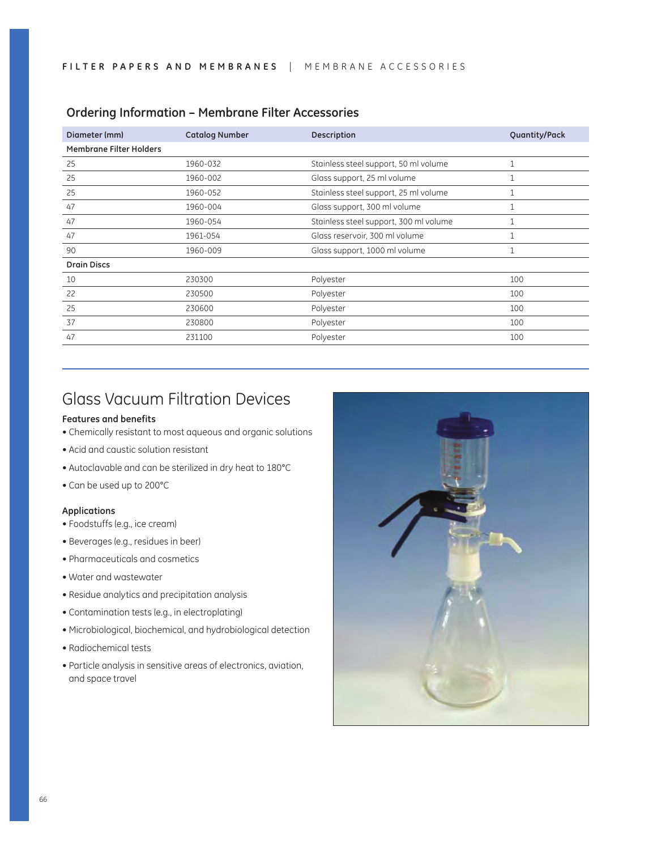| <b>Catalog Number</b> | <b>Description</b>                     | Quantity/Pack |
|-----------------------|----------------------------------------|---------------|
|                       |                                        |               |
| 1960-032              | Stainless steel support, 50 ml volume  | 1             |
| 1960-002              | Glass support, 25 ml volume            |               |
| 1960-052              | Stainless steel support, 25 ml volume  | 1             |
| 1960-004              | Glass support, 300 ml volume           |               |
| 1960-054              | Stainless steel support, 300 ml volume | 1             |
| 1961-054              | Glass reservoir, 300 ml volume         | $\mathbf{1}$  |
| 1960-009              | Glass support, 1000 ml volume          | 1             |
|                       |                                        |               |
| 230300                | Polyester                              | 100           |
| 230500                | Polyester                              | 100           |
| 230600                | Polyester                              | 100           |
| 230800                | Polyester                              | 100           |
| 231100                | Polyester                              | 100           |
|                       |                                        |               |

### **Ordering Information – Membrane Filter Accessories**

## Glass Vacuum Filtration Devices

#### **Features and benefits**

- Chemically resistant to most aqueous and organic solutions
- Acid and caustic solution resistant
- Autoclavable and can be sterilized in dry heat to 180°C
- Can be used up to 200°C

### **Applications**

- Foodstuffs (e.g., ice cream)
- Beverages (e.g., residues in beer)
- Pharmaceuticals and cosmetics
- Water and wastewater
- Residue analytics and precipitation analysis
- Contamination tests (e.g., in electroplating)
- $\bullet$  Microbiological, biochemical, and hydrobiological detection
- $\bullet$  Radiochemical tests
- Particle analysis in sensitive areas of electronics, aviation, and space travel